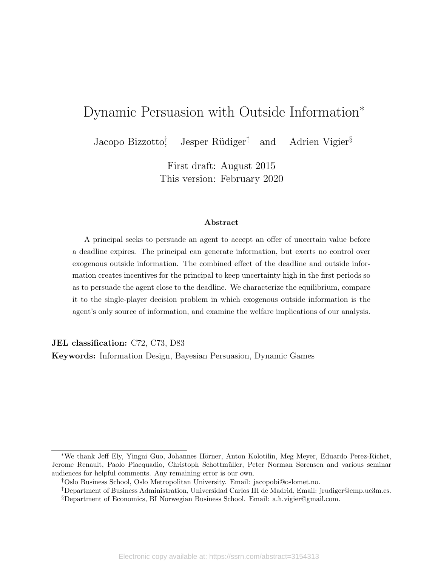# Dynamic Persuasion with Outside Information<sup>∗</sup>

Jacopo Bizzotto† Jesper Rüdiger<sup>‡</sup> and Adrien Vigier<sup>§</sup>

> First draft: August 2015 This version: February 2020

#### Abstract

A principal seeks to persuade an agent to accept an offer of uncertain value before a deadline expires. The principal can generate information, but exerts no control over exogenous outside information. The combined effect of the deadline and outside information creates incentives for the principal to keep uncertainty high in the first periods so as to persuade the agent close to the deadline. We characterize the equilibrium, compare it to the single-player decision problem in which exogenous outside information is the agent's only source of information, and examine the welfare implications of our analysis.

JEL classification: C72, C73, D83

Keywords: Information Design, Bayesian Persuasion, Dynamic Games

<sup>\*</sup>We thank Jeff Ely, Yingni Guo, Johannes Hörner, Anton Kolotilin, Meg Meyer, Eduardo Perez-Richet, Jerome Renault, Paolo Piacquadio, Christoph Schottmüller, Peter Norman Sørensen and various seminar audiences for helpful comments. Any remaining error is our own.

<sup>†</sup>Oslo Business School, Oslo Metropolitan University. Email: [jacopobi@oslomet.no.](mailto:jacopobi@oslomet.no)

<sup>‡</sup>Department of Business Administration, Universidad Carlos III de Madrid, Email: [jrudiger@emp.uc3m.es.](mailto:jrudiger@emp.uc3m.es) §Department of Economics, BI Norwegian Business School. Email: [a.h.vigier@gmail.com.](mailto:a.h.vigier@gmail.com)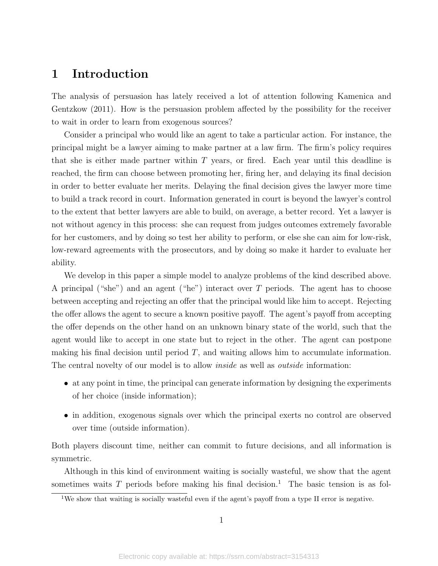## 1 Introduction

The analysis of persuasion has lately received a lot of attention following [Kamenica and](#page-36-0) [Gentzkow](#page-36-0) [\(2011\)](#page-36-0). How is the persuasion problem affected by the possibility for the receiver to wait in order to learn from exogenous sources?

Consider a principal who would like an agent to take a particular action. For instance, the principal might be a lawyer aiming to make partner at a law firm. The firm's policy requires that she is either made partner within  $T$  years, or fired. Each year until this deadline is reached, the firm can choose between promoting her, firing her, and delaying its final decision in order to better evaluate her merits. Delaying the final decision gives the lawyer more time to build a track record in court. Information generated in court is beyond the lawyer's control to the extent that better lawyers are able to build, on average, a better record. Yet a lawyer is not without agency in this process: she can request from judges outcomes extremely favorable for her customers, and by doing so test her ability to perform, or else she can aim for low-risk, low-reward agreements with the prosecutors, and by doing so make it harder to evaluate her ability.

We develop in this paper a simple model to analyze problems of the kind described above. A principal ("she") and an agent ("he") interact over T periods. The agent has to choose between accepting and rejecting an offer that the principal would like him to accept. Rejecting the offer allows the agent to secure a known positive payoff. The agent's payoff from accepting the offer depends on the other hand on an unknown binary state of the world, such that the agent would like to accept in one state but to reject in the other. The agent can postpone making his final decision until period  $T$ , and waiting allows him to accumulate information. The central novelty of our model is to allow *inside* as well as *outside* information:

- at any point in time, the principal can generate information by designing the experiments of her choice (inside information);
- in addition, exogenous signals over which the principal exerts no control are observed over time (outside information).

Both players discount time, neither can commit to future decisions, and all information is symmetric.

Although in this kind of environment waiting is socially wasteful, we show that the agent sometimes waits T periods before making his final decision.<sup>[1](#page-1-0)</sup> The basic tension is as fol-

<span id="page-1-0"></span><sup>&</sup>lt;sup>1</sup>We show that waiting is socially wasteful even if the agent's payoff from a type II error is negative.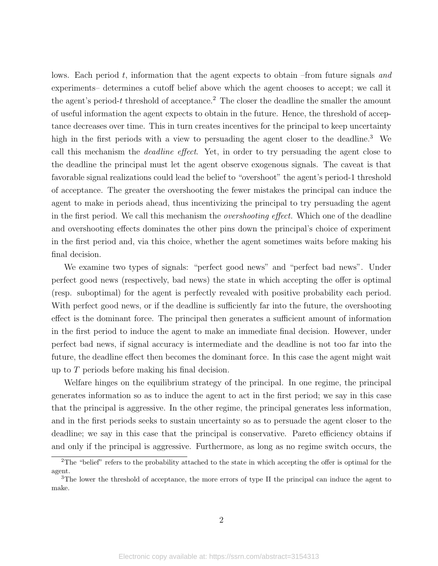lows. Each period t, information that the agent expects to obtain –from future signals and experiments– determines a cutoff belief above which the agent chooses to accept; we call it the agent's period-t threshold of acceptance.<sup>[2](#page-2-0)</sup> The closer the deadline the smaller the amount of useful information the agent expects to obtain in the future. Hence, the threshold of acceptance decreases over time. This in turn creates incentives for the principal to keep uncertainty high in the first periods with a view to persuading the agent closer to the deadline.<sup>[3](#page-2-1)</sup> We call this mechanism the deadline effect. Yet, in order to try persuading the agent close to the deadline the principal must let the agent observe exogenous signals. The caveat is that favorable signal realizations could lead the belief to "overshoot" the agent's period-1 threshold of acceptance. The greater the overshooting the fewer mistakes the principal can induce the agent to make in periods ahead, thus incentivizing the principal to try persuading the agent in the first period. We call this mechanism the *overshooting effect*. Which one of the deadline and overshooting effects dominates the other pins down the principal's choice of experiment in the first period and, via this choice, whether the agent sometimes waits before making his final decision.

We examine two types of signals: "perfect good news" and "perfect bad news". Under perfect good news (respectively, bad news) the state in which accepting the offer is optimal (resp. suboptimal) for the agent is perfectly revealed with positive probability each period. With perfect good news, or if the deadline is sufficiently far into the future, the overshooting effect is the dominant force. The principal then generates a sufficient amount of information in the first period to induce the agent to make an immediate final decision. However, under perfect bad news, if signal accuracy is intermediate and the deadline is not too far into the future, the deadline effect then becomes the dominant force. In this case the agent might wait up to T periods before making his final decision.

Welfare hinges on the equilibrium strategy of the principal. In one regime, the principal generates information so as to induce the agent to act in the first period; we say in this case that the principal is aggressive. In the other regime, the principal generates less information, and in the first periods seeks to sustain uncertainty so as to persuade the agent closer to the deadline; we say in this case that the principal is conservative. Pareto efficiency obtains if and only if the principal is aggressive. Furthermore, as long as no regime switch occurs, the

<span id="page-2-0"></span> $2^2$ The "belief" refers to the probability attached to the state in which accepting the offer is optimal for the agent.

<span id="page-2-1"></span> $3$ The lower the threshold of acceptance, the more errors of type II the principal can induce the agent to make.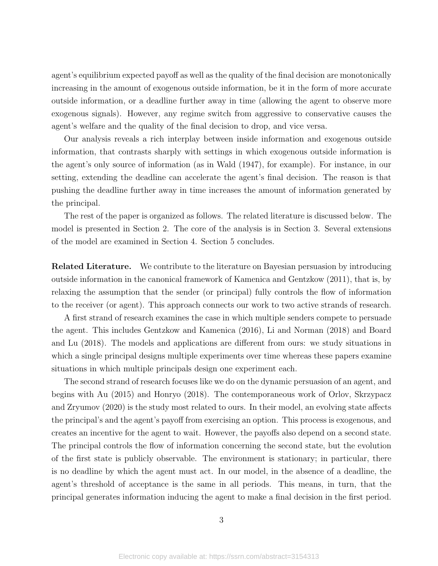agent's equilibrium expected payoff as well as the quality of the final decision are monotonically increasing in the amount of exogenous outside information, be it in the form of more accurate outside information, or a deadline further away in time (allowing the agent to observe more exogenous signals). However, any regime switch from aggressive to conservative causes the agent's welfare and the quality of the final decision to drop, and vice versa.

Our analysis reveals a rich interplay between inside information and exogenous outside information, that contrasts sharply with settings in which exogenous outside information is the agent's only source of information (as in [Wald](#page-37-0) [\(1947\)](#page-37-0), for example). For instance, in our setting, extending the deadline can accelerate the agent's final decision. The reason is that pushing the deadline further away in time increases the amount of information generated by the principal.

The rest of the paper is organized as follows. The related literature is discussed below. The model is presented in Section [2.](#page-4-0) The core of the analysis is in Section [3.](#page-6-0) Several extensions of the model are examined in Section [4.](#page-14-0) Section [5](#page-17-0) concludes.

Related Literature. We contribute to the literature on Bayesian persuasion by introducing outside information in the canonical framework of [Kamenica and Gentzkow](#page-36-0) [\(2011\)](#page-36-0), that is, by relaxing the assumption that the sender (or principal) fully controls the flow of information to the receiver (or agent). This approach connects our work to two active strands of research.

A first strand of research examines the case in which multiple senders compete to persuade the agent. This includes [Gentzkow and Kamenica](#page-36-1) [\(2016\)](#page-36-1), [Li and Norman](#page-37-1) [\(2018\)](#page-37-1) and [Board](#page-36-2) [and Lu](#page-36-2) [\(2018\)](#page-36-2). The models and applications are different from ours: we study situations in which a single principal designs multiple experiments over time whereas these papers examine situations in which multiple principals design one experiment each.

The second strand of research focuses like we do on the dynamic persuasion of an agent, and begins with [Au](#page-36-3) [\(2015\)](#page-36-3) and [Honryo](#page-36-4) [\(2018\)](#page-36-4). The contemporaneous work of [Orlov, Skrzypacz](#page-37-2) [and Zryumov](#page-37-2) [\(2020\)](#page-37-2) is the study most related to ours. In their model, an evolving state affects the principal's and the agent's payoff from exercising an option. This process is exogenous, and creates an incentive for the agent to wait. However, the payoffs also depend on a second state. The principal controls the flow of information concerning the second state, but the evolution of the first state is publicly observable. The environment is stationary; in particular, there is no deadline by which the agent must act. In our model, in the absence of a deadline, the agent's threshold of acceptance is the same in all periods. This means, in turn, that the principal generates information inducing the agent to make a final decision in the first period.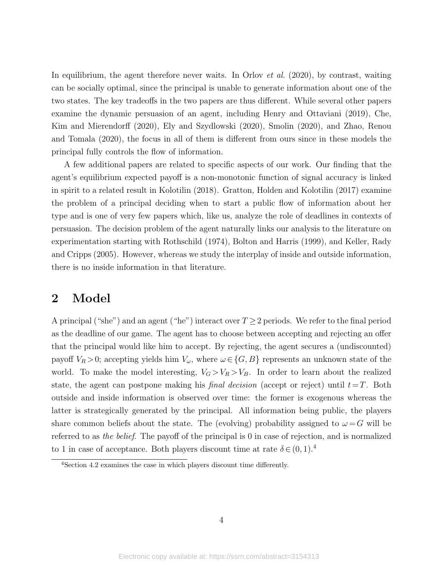In equilibrium, the agent therefore never waits. In [Orlov](#page-37-2) *et al.* [\(2020\)](#page-37-2), by contrast, waiting can be socially optimal, since the principal is unable to generate information about one of the two states. The key tradeoffs in the two papers are thus different. While several other papers examine the dynamic persuasion of an agent, including [Henry and Ottaviani](#page-36-5) [\(2019\)](#page-36-5), [Che,](#page-36-6) [Kim and Mierendorff](#page-36-6) [\(2020\)](#page-36-6), [Ely and Szydlowski](#page-36-7) [\(2020\)](#page-36-7), [Smolin](#page-37-3) [\(2020\)](#page-37-3), and [Zhao, Renou](#page-37-4) [and Tomala](#page-37-4) [\(2020\)](#page-37-4), the focus in all of them is different from ours since in these models the principal fully controls the flow of information.

A few additional papers are related to specific aspects of our work. Our finding that the agent's equilibrium expected payoff is a non-monotonic function of signal accuracy is linked in spirit to a related result in [Kolotilin](#page-37-5) [\(2018\)](#page-37-5). [Gratton, Holden and Kolotilin](#page-36-8) [\(2017\)](#page-36-8) examine the problem of a principal deciding when to start a public flow of information about her type and is one of very few papers which, like us, analyze the role of deadlines in contexts of persuasion. The decision problem of the agent naturally links our analysis to the literature on experimentation starting with [Rothschild](#page-37-6) [\(1974\)](#page-37-6), [Bolton and Harris](#page-36-9) [\(1999\)](#page-36-9), and [Keller, Rady](#page-37-7) [and Cripps](#page-37-7) [\(2005\)](#page-37-7). However, whereas we study the interplay of inside and outside information, there is no inside information in that literature.

### <span id="page-4-0"></span>2 Model

A principal ("she") and an agent ("he") interact over  $T \geq 2$  periods. We refer to the final period as the deadline of our game. The agent has to choose between accepting and rejecting an offer that the principal would like him to accept. By rejecting, the agent secures a (undiscounted) payoff  $V_R > 0$ ; accepting yields him  $V_\omega$ , where  $\omega \in \{G, B\}$  represents an unknown state of the world. To make the model interesting,  $V_G > V_R > V_B$ . In order to learn about the realized state, the agent can postpone making his *final decision* (accept or reject) until  $t=T$ . Both outside and inside information is observed over time: the former is exogenous whereas the latter is strategically generated by the principal. All information being public, the players share common beliefs about the state. The (evolving) probability assigned to  $\omega = G$  will be referred to as the belief. The payoff of the principal is 0 in case of rejection, and is normalized to 1 in case of acceptance. Both players discount time at rate  $\delta \in (0,1).^4$  $\delta \in (0,1).^4$ 

<span id="page-4-1"></span><sup>4</sup>Section [4.2](#page-15-0) examines the case in which players discount time differently.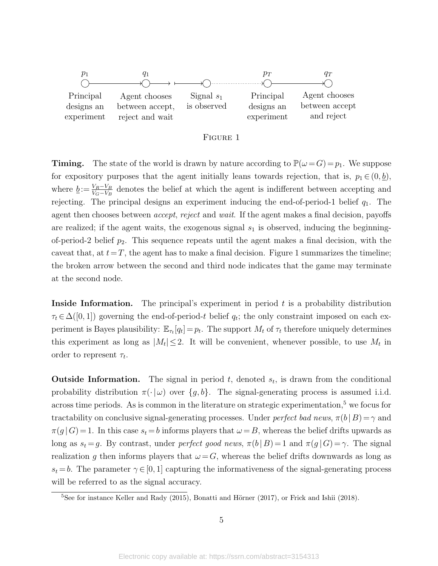<span id="page-5-0"></span>

#### Figure 1

**Timing.** The state of the world is drawn by nature according to  $\mathbb{P}(\omega = G) = p_1$ . We suppose for expository purposes that the agent initially leans towards rejection, that is,  $p_1 \in (0, b)$ , where  $\underline{b} := \frac{V_R - V_B}{V_G - V_B}$  denotes the belief at which the agent is indifferent between accepting and rejecting. The principal designs an experiment inducing the end-of-period-1 belief  $q_1$ . The agent then chooses between *accept*, reject and wait. If the agent makes a final decision, payoffs are realized; if the agent waits, the exogenous signal  $s_1$  is observed, inducing the beginningof-period-2 belief  $p_2$ . This sequence repeats until the agent makes a final decision, with the caveat that, at  $t=T$ , the agent has to make a final decision. Figure [1](#page-5-0) summarizes the timeline; the broken arrow between the second and third node indicates that the game may terminate at the second node.

**Inside Information.** The principal's experiment in period  $t$  is a probability distribution  $\tau_t \in \Delta([0,1])$  governing the end-of-period-t belief  $q_t$ ; the only constraint imposed on each experiment is Bayes plausibility:  $\mathbb{E}_{\tau_t}[q_t] = p_t$ . The support  $M_t$  of  $\tau_t$  therefore uniquely determines this experiment as long as  $|M_t| \leq 2$ . It will be convenient, whenever possible, to use  $M_t$  in order to represent  $\tau_t$ .

**Outside Information.** The signal in period  $t$ , denoted  $s_t$ , is drawn from the conditional probability distribution  $\pi(\cdot | \omega)$  over  $\{g, b\}$ . The signal-generating process is assumed i.i.d. across time periods. As is common in the literature on strategic experimentation, $5$  we focus for tractability on conclusive signal-generating processes. Under *perfect bad news*,  $\pi(b|B) = \gamma$  and  $\pi(g|G)=1$ . In this case  $s_t = b$  informs players that  $\omega = B$ , whereas the belief drifts upwards as long as  $s_t = g$ . By contrast, under perfect good news,  $\pi(b | B) = 1$  and  $\pi(g | G) = \gamma$ . The signal realization g then informs players that  $\omega = G$ , whereas the belief drifts downwards as long as  $s_t = b$ . The parameter  $\gamma \in [0, 1]$  capturing the informativeness of the signal-generating process will be referred to as the signal accuracy.

<span id="page-5-1"></span> $5$ See for instance [Keller and Rady](#page-37-8) [\(2015\)](#page-37-8), Bonatti and Hörner [\(2017\)](#page-36-10), or [Frick and Ishii](#page-36-11) [\(2018\)](#page-36-11).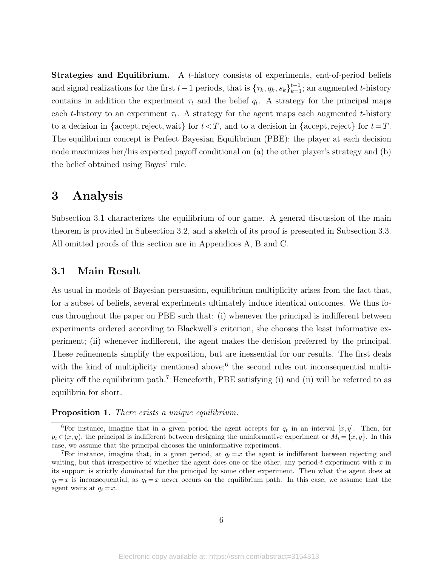Strategies and Equilibrium. A t-history consists of experiments, end-of-period beliefs and signal realizations for the first  $t-1$  periods, that is  $\{\tau_k, q_k, s_k\}_{k=1}^{t-1}$ ; an augmented t-history contains in addition the experiment  $\tau_t$  and the belief  $q_t$ . A strategy for the principal maps each t-history to an experiment  $\tau_t$ . A strategy for the agent maps each augmented t-history to a decision in {accept, reject, wait} for  $t < T$ , and to a decision in {accept, reject} for  $t=T$ . The equilibrium concept is Perfect Bayesian Equilibrium (PBE): the player at each decision node maximizes her/his expected payoff conditional on (a) the other player's strategy and (b) the belief obtained using Bayes' rule.

### <span id="page-6-0"></span>3 Analysis

Subsection [3.1](#page-6-1) characterizes the equilibrium of our game. A general discussion of the main theorem is provided in Subsection [3.2,](#page-10-0) and a sketch of its proof is presented in Subsection [3.3.](#page-12-0) All omitted proofs of this section are in Appendices A, B and C.

### <span id="page-6-1"></span>3.1 Main Result

As usual in models of Bayesian persuasion, equilibrium multiplicity arises from the fact that, for a subset of beliefs, several experiments ultimately induce identical outcomes. We thus focus throughout the paper on PBE such that: (i) whenever the principal is indifferent between experiments ordered according to Blackwell's criterion, she chooses the least informative experiment; (ii) whenever indifferent, the agent makes the decision preferred by the principal. These refinements simplify the exposition, but are inessential for our results. The first deals with the kind of multiplicity mentioned above;<sup>[6](#page-6-2)</sup> the second rules out inconsequential multiplicity off the equilibrium path.[7](#page-6-3) Henceforth, PBE satisfying (i) and (ii) will be referred to as equilibria for short.

#### <span id="page-6-4"></span>Proposition 1. There exists a unique equilibrium.

<span id="page-6-2"></span><sup>&</sup>lt;sup>6</sup>For instance, imagine that in a given period the agent accepts for  $q_t$  in an interval [x, y]. Then, for  $p_t \in (x, y)$ , the principal is indifferent between designing the uninformative experiment or  $M_t = \{x, y\}$ . In this case, we assume that the principal chooses the uninformative experiment.

<span id="page-6-3"></span><sup>&</sup>lt;sup>7</sup>For instance, imagine that, in a given period, at  $q_t = x$  the agent is indifferent between rejecting and waiting, but that irrespective of whether the agent does one or the other, any period-t experiment with  $x$  in its support is strictly dominated for the principal by some other experiment. Then what the agent does at  $q_t = x$  is inconsequential, as  $q_t = x$  never occurs on the equilibrium path. In this case, we assume that the agent waits at  $q_t = x$ .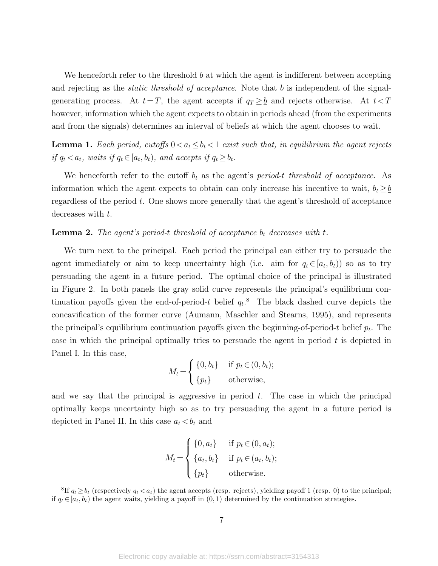We henceforth refer to the threshold b at which the agent is indifferent between accepting and rejecting as the *static threshold of acceptance*. Note that  $\underline{b}$  is independent of the signalgenerating process. At  $t=T$ , the agent accepts if  $q_T \geq b$  and rejects otherwise. At  $t < T$ however, information which the agent expects to obtain in periods ahead (from the experiments and from the signals) determines an interval of beliefs at which the agent chooses to wait.

<span id="page-7-1"></span>**Lemma 1.** Each period, cutoffs  $0 < a_t \leq b_t < 1$  exist such that, in equilibrium the agent rejects if  $q_t < a_t$ , waits if  $q_t \in [a_t, b_t)$ , and accepts if  $q_t \ge b_t$ .

We henceforth refer to the cutoff  $b_t$  as the agent's period-t threshold of acceptance. As information which the agent expects to obtain can only increase his incentive to wait,  $b_t \geq b$ regardless of the period t. One shows more generally that the agent's threshold of acceptance decreases with t.

<span id="page-7-2"></span>**Lemma 2.** The agent's period-t threshold of acceptance  $b_t$  decreases with t.

We turn next to the principal. Each period the principal can either try to persuade the agent immediately or aim to keep uncertainty high (i.e. aim for  $q_t \in [a_t, b_t)$ ) so as to try persuading the agent in a future period. The optimal choice of the principal is illustrated in Figure [2.](#page-8-0) In both panels the gray solid curve represents the principal's equilibrium continuation payoffs given the end-of-period-t belief  $q_t$ .<sup>[8](#page-7-0)</sup> The black dashed curve depicts the concavification of the former curve [\(Aumann, Maschler and Stearns, 1995\)](#page-36-12), and represents the principal's equilibrium continuation payoffs given the beginning-of-period-t belief  $p_t$ . The case in which the principal optimally tries to persuade the agent in period  $t$  is depicted in Panel I. In this case,

$$
M_t = \begin{cases} \{0, b_t\} & \text{if } p_t \in (0, b_t); \\ \{p_t\} & \text{otherwise,} \end{cases}
$$

and we say that the principal is aggressive in period  $t$ . The case in which the principal optimally keeps uncertainty high so as to try persuading the agent in a future period is depicted in Panel II. In this case  $a_t < b_t$  and

$$
M_t = \begin{cases} \{0, a_t\} & \text{if } p_t \in (0, a_t); \\ \{a_t, b_t\} & \text{if } p_t \in (a_t, b_t); \\ \{p_t\} & \text{otherwise.} \end{cases}
$$

<span id="page-7-0"></span><sup>&</sup>lt;sup>8</sup>If  $q_t \ge b_t$  (respectively  $q_t < a_t$ ) the agent accepts (resp. rejects), yielding payoff 1 (resp. 0) to the principal; if  $q_t \in [a_t, b_t)$  the agent waits, yielding a payoff in  $(0, 1)$  determined by the continuation strategies.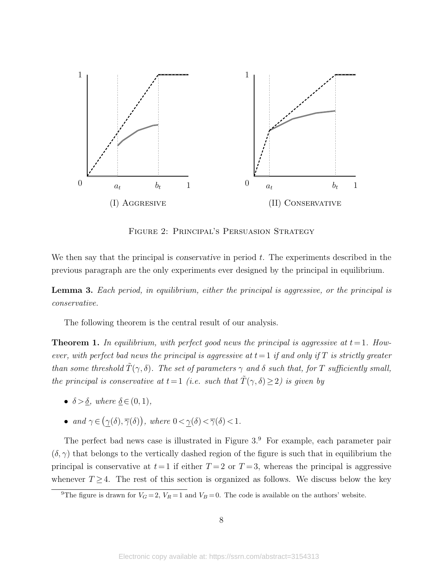<span id="page-8-0"></span>

Figure 2: Principal's Persuasion Strategy

We then say that the principal is *conservative* in period  $t$ . The experiments described in the previous paragraph are the only experiments ever designed by the principal in equilibrium.

<span id="page-8-3"></span>Lemma 3. Each period, in equilibrium, either the principal is aggressive, or the principal is conservative.

The following theorem is the central result of our analysis.

<span id="page-8-2"></span>**Theorem 1.** In equilibrium, with perfect good news the principal is aggressive at  $t = 1$ . However, with perfect bad news the principal is aggressive at  $t=1$  if and only if T is strictly greater than some threshold  $\tilde{T}(\gamma,\delta)$ . The set of parameters  $\gamma$  and  $\delta$  such that, for T sufficiently small, the principal is conservative at  $t=1$  (i.e. such that  $\tilde{T}(\gamma,\delta) \geq 2$ ) is given by

- $\delta > \delta$ , where  $\delta \in (0, 1)$ ,
- and  $\gamma \in (\gamma(\delta), \overline{\gamma}(\delta))$ , where  $0 < \gamma(\delta) < \overline{\gamma}(\delta) < 1$ .

The perfect bad news case is illustrated in Figure  $3.9$  $3.9$  For example, each parameter pair  $(\delta, \gamma)$  that belongs to the vertically dashed region of the figure is such that in equilibrium the principal is conservative at  $t=1$  if either  $T=2$  or  $T=3$ , whereas the principal is aggressive whenever  $T \geq 4$ . The rest of this section is organized as follows. We discuss below the key

<span id="page-8-1"></span><sup>&</sup>lt;sup>9</sup>The figure is drawn for  $V_G = 2$ ,  $V_R = 1$  and  $V_B = 0$ . The code is available on the authors' website.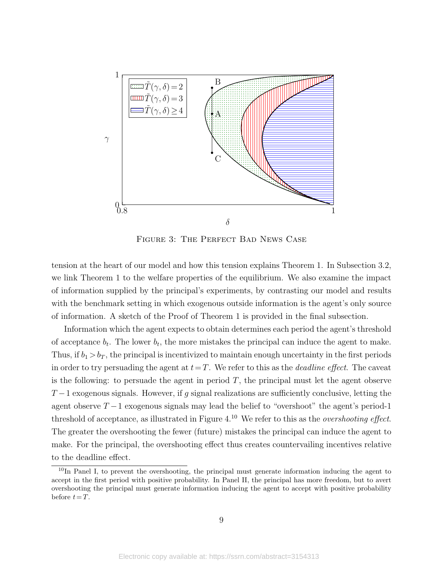<span id="page-9-0"></span>

Figure 3: The Perfect Bad News Case

tension at the heart of our model and how this tension explains Theorem [1.](#page-8-2) In Subsection [3.2,](#page-10-0) we link Theorem [1](#page-8-2) to the welfare properties of the equilibrium. We also examine the impact of information supplied by the principal's experiments, by contrasting our model and results with the benchmark setting in which exogenous outside information is the agent's only source of information. A sketch of the Proof of Theorem [1](#page-8-2) is provided in the final subsection.

Information which the agent expects to obtain determines each period the agent's threshold of acceptance  $b_t$ . The lower  $b_t$ , the more mistakes the principal can induce the agent to make. Thus, if  $b_1 > b_T$ , the principal is incentivized to maintain enough uncertainty in the first periods in order to try persuading the agent at  $t=T$ . We refer to this as the *deadline effect*. The caveat is the following: to persuade the agent in period  $T$ , the principal must let the agent observe  $T-1$  exogenous signals. However, if g signal realizations are sufficiently conclusive, letting the agent observe  $T-1$  exogenous signals may lead the belief to "overshoot" the agent's period-1 threshold of acceptance, as illustrated in Figure [4.](#page-10-1)<sup>[10](#page-9-1)</sup> We refer to this as the *overshooting effect*. The greater the overshooting the fewer (future) mistakes the principal can induce the agent to make. For the principal, the overshooting effect thus creates countervailing incentives relative to the deadline effect.

<span id="page-9-1"></span><sup>&</sup>lt;sup>10</sup>In Panel I, to prevent the overshooting, the principal must generate information inducing the agent to accept in the first period with positive probability. In Panel II, the principal has more freedom, but to avert overshooting the principal must generate information inducing the agent to accept with positive probability before  $t=T$ .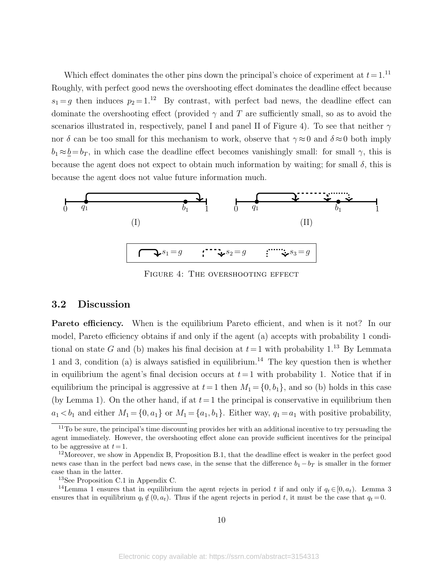Which effect dominates the other pins down the principal's choice of experiment at  $t = 1$ .<sup>[11](#page-10-2)</sup> Roughly, with perfect good news the overshooting effect dominates the deadline effect because  $s_1 = g$  then induces  $p_2 = 1^{12}$  $p_2 = 1^{12}$  $p_2 = 1^{12}$  By contrast, with perfect bad news, the deadline effect can dominate the overshooting effect (provided  $\gamma$  and T are sufficiently small, so as to avoid the scenarios illustrated in, respectively, panel I and panel II of Figure [4\)](#page-10-1). To see that neither  $\gamma$ nor  $\delta$  can be too small for this mechanism to work, observe that  $\gamma \approx 0$  and  $\delta \approx 0$  both imply  $b_1 \approx \underline{b} = b_T$ , in which case the deadline effect becomes vanishingly small: for small  $\gamma$ , this is because the agent does not expect to obtain much information by waiting; for small  $\delta$ , this is because the agent does not value future information much.

<span id="page-10-1"></span>

FIGURE 4: THE OVERSHOOTING EFFECT

#### <span id="page-10-0"></span>3.2 Discussion

Pareto efficiency. When is the equilibrium Pareto efficient, and when is it not? In our model, Pareto efficiency obtains if and only if the agent (a) accepts with probability 1 conditional on state G and (b) makes his final decision at  $t=1$  with probability 1.<sup>[13](#page-10-4)</sup> By Lemmata [1](#page-7-1) and [3,](#page-8-3) condition (a) is always satisfied in equilibrium.<sup>[14](#page-10-5)</sup> The key question then is whether in equilibrium the agent's final decision occurs at  $t=1$  with probability 1. Notice that if in equilibrium the principal is aggressive at  $t=1$  then  $M_1 = \{0, b_1\}$ , and so (b) holds in this case (by Lemma [1\)](#page-7-1). On the other hand, if at  $t=1$  the principal is conservative in equilibrium then  $a_1 < b_1$  and either  $M_1 = \{0, a_1\}$  or  $M_1 = \{a_1, b_1\}$ . Either way,  $q_1 = a_1$  with positive probability,

<span id="page-10-2"></span> $11$ To be sure, the principal's time discounting provides her with an additional incentive to try persuading the agent immediately. However, the overshooting effect alone can provide sufficient incentives for the principal to be aggressive at  $t = 1$ .

<span id="page-10-3"></span><sup>&</sup>lt;sup>12</sup>Moreover, we show in Appendix B, Proposition [B.1,](#page-6-4) that the deadline effect is weaker in the perfect good news case than in the perfect bad news case, in the sense that the difference  $b_1 - b_T$  is smaller in the former case than in the latter.

<span id="page-10-5"></span><span id="page-10-4"></span><sup>13</sup>See Proposition [C.1](#page-6-4) in Appendix C.

<sup>&</sup>lt;sup>14</sup>Lemma [1](#page-7-1) ensures that in equilibrium the agent rejects in period t if and only if  $q_t \in [0, a_t)$ . Lemma [3](#page-8-3) ensures that in equilibrium  $q_t \notin (0, a_t)$ . Thus if the agent rejects in period t, it must be the case that  $q_t = 0$ .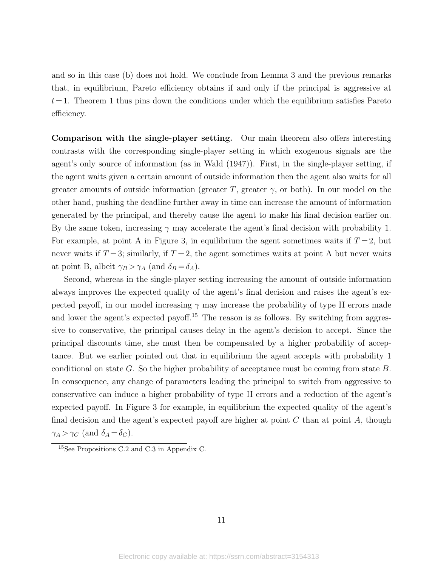and so in this case (b) does not hold. We conclude from Lemma [3](#page-8-3) and the previous remarks that, in equilibrium, Pareto efficiency obtains if and only if the principal is aggressive at  $t=1$ . Theorem [1](#page-8-2) thus pins down the conditions under which the equilibrium satisfies Pareto efficiency.

Comparison with the single-player setting. Our main theorem also offers interesting contrasts with the corresponding single-player setting in which exogenous signals are the agent's only source of information (as in [Wald](#page-37-0) [\(1947\)](#page-37-0)). First, in the single-player setting, if the agent waits given a certain amount of outside information then the agent also waits for all greater amounts of outside information (greater T, greater  $\gamma$ , or both). In our model on the other hand, pushing the deadline further away in time can increase the amount of information generated by the principal, and thereby cause the agent to make his final decision earlier on. By the same token, increasing  $\gamma$  may accelerate the agent's final decision with probability 1. For example, at point A in Figure [3,](#page-9-0) in equilibrium the agent sometimes waits if  $T = 2$ , but never waits if  $T = 3$ ; similarly, if  $T = 2$ , the agent sometimes waits at point A but never waits at point B, albeit  $\gamma_B > \gamma_A$  (and  $\delta_B = \delta_A$ ).

Second, whereas in the single-player setting increasing the amount of outside information always improves the expected quality of the agent's final decision and raises the agent's expected payoff, in our model increasing  $\gamma$  may increase the probability of type II errors made and lower the agent's expected payoff.<sup>[15](#page-11-0)</sup> The reason is as follows. By switching from aggressive to conservative, the principal causes delay in the agent's decision to accept. Since the principal discounts time, she must then be compensated by a higher probability of acceptance. But we earlier pointed out that in equilibrium the agent accepts with probability 1 conditional on state G. So the higher probability of acceptance must be coming from state B. In consequence, any change of parameters leading the principal to switch from aggressive to conservative can induce a higher probability of type II errors and a reduction of the agent's expected payoff. In Figure [3](#page-9-0) for example, in equilibrium the expected quality of the agent's final decision and the agent's expected payoff are higher at point  $C$  than at point  $A$ , though  $\gamma_A > \gamma_C$  (and  $\delta_A = \delta_C$ ).

<span id="page-11-0"></span><sup>15</sup>See Propositions [C.2](#page-15-1) and [C.3](#page-15-2) in Appendix C.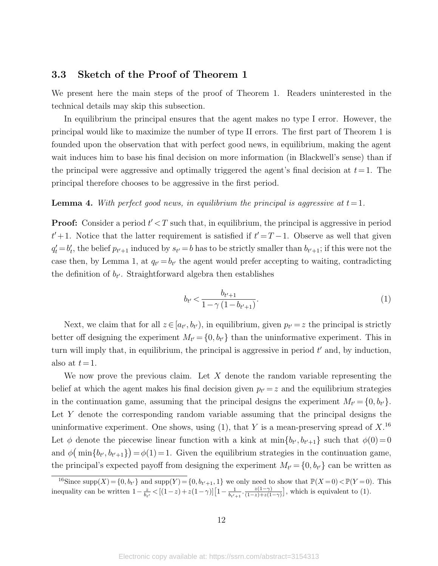### <span id="page-12-0"></span>3.3 Sketch of the Proof of Theorem [1](#page-8-2)

We present here the main steps of the proof of Theorem [1.](#page-8-2) Readers uninterested in the technical details may skip this subsection.

In equilibrium the principal ensures that the agent makes no type I error. However, the principal would like to maximize the number of type II errors. The first part of Theorem [1](#page-8-2) is founded upon the observation that with perfect good news, in equilibrium, making the agent wait induces him to base his final decision on more information (in Blackwell's sense) than if the principal were aggressive and optimally triggered the agent's final decision at  $t=1$ . The principal therefore chooses to be aggressive in the first period.

#### <span id="page-12-3"></span>**Lemma 4.** With perfect good news, in equilibrium the principal is aggressive at  $t = 1$ .

**Proof:** Consider a period  $t' < T$  such that, in equilibrium, the principal is aggressive in period  $t' + 1$ . Notice that the latter requirement is satisfied if  $t' = T - 1$ . Observe as well that given  $q'_t = b'_t$ , the belief  $p_{t'+1}$  induced by  $s_{t'} = b$  has to be strictly smaller than  $b_{t'+1}$ ; if this were not the case then, by Lemma [1,](#page-7-1) at  $q_{t'} = b_{t'}$  the agent would prefer accepting to waiting, contradicting the definition of  $b_{t'}$ . Straightforward algebra then establishes

<span id="page-12-1"></span>
$$
b_{t'} < \frac{b_{t'+1}}{1 - \gamma \left( 1 - b_{t'+1} \right)}.\tag{1}
$$

Next, we claim that for all  $z \in [a_{t'}, b_{t'})$ , in equilibrium, given  $p_{t'} = z$  the principal is strictly better off designing the experiment  $M_{t'} = \{0, b_{t'}\}$  than the uninformative experiment. This in turn will imply that, in equilibrium, the principal is aggressive in period  $t'$  and, by induction, also at  $t = 1$ .

We now prove the previous claim. Let X denote the random variable representing the belief at which the agent makes his final decision given  $p_{t'} = z$  and the equilibrium strategies in the continuation game, assuming that the principal designs the experiment  $M_{t'} = \{0, b_{t'}\}.$ Let Y denote the corresponding random variable assuming that the principal designs the uninformative experiment. One shows, using [\(1\)](#page-12-1), that Y is a mean-preserving spread of  $X<sup>16</sup>$  $X<sup>16</sup>$  $X<sup>16</sup>$ Let  $\phi$  denote the piecewise linear function with a kink at  $\min\{b_{t'}, b_{t'+1}\}\$  such that  $\phi(0) = 0$ and  $\phi(\min\{b_{t'}, b_{t'+1}\}) = \phi(1) = 1$ . Given the equilibrium strategies in the continuation game, the principal's expected payoff from designing the experiment  $M_{t'} = \{0, b_{t'}\}$  can be written as

<span id="page-12-2"></span><sup>&</sup>lt;sup>16</sup>Since supp $(X) = \{0, b_{t'}\}$  and supp $(Y) = \{0, b_{t'+1}, 1\}$  we only need to show that  $\mathbb{P}(X = 0) < \mathbb{P}(Y = 0)$ . This inequality can be written  $1 - \frac{z}{b_{t'}} < [(1-z) + z(1-\gamma)][1 - \frac{1}{b_{t'+1}} \cdot \frac{z(1-\gamma)}{(1-z)+z(1-\gamma)}]$  $\frac{z(1-\gamma)}{(1-z)+z(1-\gamma)}$ , which is equivalent to [\(1\)](#page-12-1).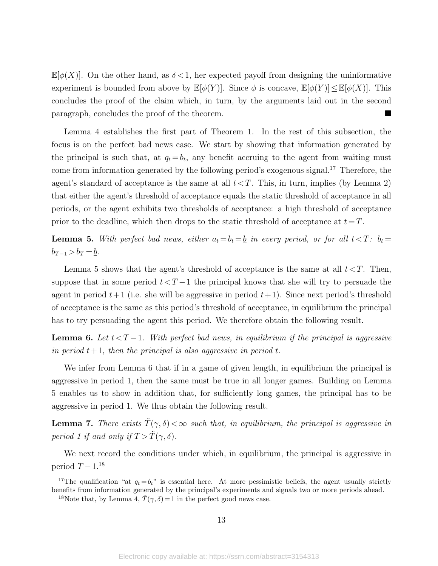$\mathbb{E}[\phi(X)]$ . On the other hand, as  $\delta < 1$ , her expected payoff from designing the uninformative experiment is bounded from above by  $\mathbb{E}[\phi(Y)]$ . Since  $\phi$  is concave,  $\mathbb{E}[\phi(Y)] \leq \mathbb{E}[\phi(X)]$ . This concludes the proof of the claim which, in turn, by the arguments laid out in the second paragraph, concludes the proof of the theorem.

Lemma [4](#page-12-3) establishes the first part of Theorem [1.](#page-8-2) In the rest of this subsection, the focus is on the perfect bad news case. We start by showing that information generated by the principal is such that, at  $q_t = b_t$ , any benefit accruing to the agent from waiting must come from information generated by the following period's exogenous signal.<sup>[17](#page-13-0)</sup> Therefore, the agent's standard of acceptance is the same at all  $t < T$ . This, in turn, implies (by Lemma [2\)](#page-7-2) that either the agent's threshold of acceptance equals the static threshold of acceptance in all periods, or the agent exhibits two thresholds of acceptance: a high threshold of acceptance prior to the deadline, which then drops to the static threshold of acceptance at  $t=T$ .

<span id="page-13-1"></span>**Lemma 5.** With perfect bad news, either  $a_t = b_t = \underline{b}$  in every period, or for all  $t < T$ :  $b_t =$  $b_{T-1} > b_T = \underline{b}$ .

Lemma [5](#page-13-1) shows that the agent's threshold of acceptance is the same at all  $t < T$ . Then, suppose that in some period  $t < T-1$  the principal knows that she will try to persuade the agent in period  $t+1$  (i.e. she will be aggressive in period  $t+1$ ). Since next period's threshold of acceptance is the same as this period's threshold of acceptance, in equilibrium the principal has to try persuading the agent this period. We therefore obtain the following result.

<span id="page-13-2"></span>**Lemma 6.** Let  $t < T-1$ . With perfect bad news, in equilibrium if the principal is aggressive in period  $t+1$ , then the principal is also aggressive in period t.

We infer from Lemma [6](#page-13-2) that if in a game of given length, in equilibrium the principal is aggressive in period 1, then the same must be true in all longer games. Building on Lemma [5](#page-13-1) enables us to show in addition that, for sufficiently long games, the principal has to be aggressive in period 1. We thus obtain the following result.

<span id="page-13-4"></span>**Lemma 7.** There exists  $\tilde{T}(\gamma, \delta) < \infty$  such that, in equilibrium, the principal is aggressive in period 1 if and only if  $T > \tilde{T}(\gamma, \delta)$ .

We next record the conditions under which, in equilibrium, the principal is aggressive in period  $T-1.18$  $T-1.18$ 

<span id="page-13-0"></span><sup>&</sup>lt;sup>17</sup>The qualification "at  $q_t = b_t$ " is essential here. At more pessimistic beliefs, the agent usually strictly benefits from information generated by the principal's experiments and signals two or more periods ahead.

<span id="page-13-3"></span><sup>&</sup>lt;sup>18</sup>Note that, by Lemma [4,](#page-12-3)  $\tilde{T}(\gamma, \delta) = 1$  in the perfect good news case.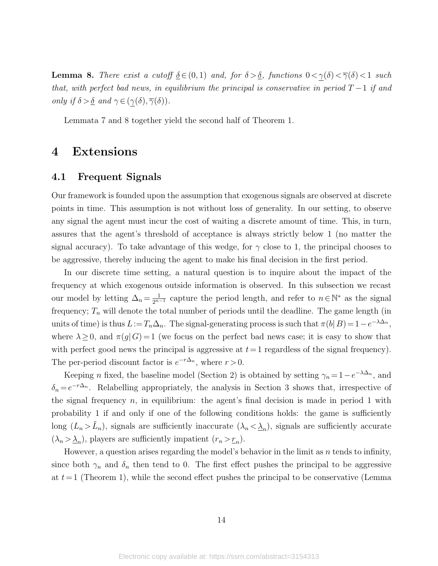<span id="page-14-1"></span>**Lemma 8.** There exist a cutoff  $\underline{\delta} \in (0, 1)$  and, for  $\delta > \underline{\delta}$ , functions  $0 < \underline{\gamma}(\delta) < \overline{\gamma}(\delta) < 1$  such that, with perfect bad news, in equilibrium the principal is conservative in period  $T-1$  if and only if  $\delta > \underline{\delta}$  and  $\gamma \in (\gamma(\delta), \overline{\gamma}(\delta)).$ 

Lemmata [7](#page-13-4) and [8](#page-14-1) together yield the second half of Theorem [1.](#page-8-2)

## <span id="page-14-0"></span>4 Extensions

#### 4.1 Frequent Signals

Our framework is founded upon the assumption that exogenous signals are observed at discrete points in time. This assumption is not without loss of generality. In our setting, to observe any signal the agent must incur the cost of waiting a discrete amount of time. This, in turn, assures that the agent's threshold of acceptance is always strictly below 1 (no matter the signal accuracy). To take advantage of this wedge, for  $\gamma$  close to 1, the principal chooses to be aggressive, thereby inducing the agent to make his final decision in the first period.

In our discrete time setting, a natural question is to inquire about the impact of the frequency at which exogenous outside information is observed. In this subsection we recast our model by letting  $\Delta_n = \frac{1}{2^{n-1}}$  capture the period length, and refer to  $n \in \mathbb{N}^*$  as the signal frequency;  $T_n$  will denote the total number of periods until the deadline. The game length (in units of time) is thus  $L:=T_n\Delta_n$ . The signal-generating process is such that  $\pi(b|B) = 1-e^{-\lambda\Delta_n}$ , where  $\lambda \geq 0$ , and  $\pi(g|G) = 1$  (we focus on the perfect bad news case; it is easy to show that with perfect good news the principal is aggressive at  $t=1$  regardless of the signal frequency). The per-period discount factor is  $e^{-r\Delta_n}$ , where  $r > 0$ .

Keeping *n* fixed, the baseline model (Section [2\)](#page-4-0) is obtained by setting  $\gamma_n = 1 - e^{-\lambda \Delta_n}$ , and  $\delta_n = e^{-r\Delta_n}$ . Relabelling appropriately, the analysis in Section [3](#page-6-0) shows that, irrespective of the signal frequency  $n$ , in equilibrium: the agent's final decision is made in period 1 with probability 1 if and only if one of the following conditions holds: the game is sufficiently long  $(L_n > \tilde{L}_n)$ , signals are sufficiently inaccurate  $(\lambda_n < \underline{\lambda}_n)$ , signals are sufficiently accurate  $(\lambda_n > \underline{\lambda}_n)$ , players are sufficiently impatient  $(r_n > r_n)$ .

However, a question arises regarding the model's behavior in the limit as  $n$  tends to infinity, since both  $\gamma_n$  and  $\delta_n$  then tend to 0. The first effect pushes the principal to be aggressive at  $t=1$  (Theorem [1\)](#page-8-2), while the second effect pushes the principal to be conservative (Lemma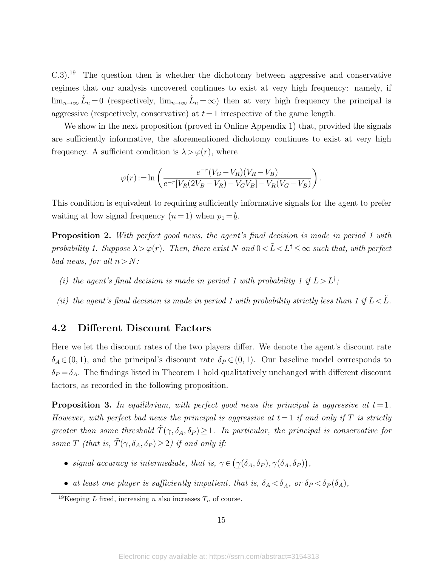$C.3$ ).<sup>[19](#page-15-3)</sup> The question then is whether the dichotomy between aggressive and conservative regimes that our analysis uncovered continues to exist at very high frequency: namely, if  $\lim_{n\to\infty}\tilde{L}_n=0$  (respectively,  $\lim_{n\to\infty}\tilde{L}_n=\infty$ ) then at very high frequency the principal is aggressive (respectively, conservative) at  $t=1$  irrespective of the game length.

We show in the next proposition (proved in Online Appendix 1) that, provided the signals are sufficiently informative, the aforementioned dichotomy continues to exist at very high frequency. A sufficient condition is  $\lambda > \varphi(r)$ , where

$$
\varphi(r) := \ln \left( \frac{e^{-r}(V_G - V_R)(V_R - V_B)}{e^{-r}[V_R(2V_B - V_R) - V_GV_B] - V_R(V_G - V_B)} \right).
$$

This condition is equivalent to requiring sufficiently informative signals for the agent to prefer waiting at low signal frequency  $(n=1)$  when  $p_1 = b$ .

<span id="page-15-1"></span>**Proposition 2.** With perfect good news, the agent's final decision is made in period 1 with probability 1. Suppose  $\lambda > \varphi(r)$ . Then, there exist N and  $0 < \tilde{L} < L^{\dagger} \leq \infty$  such that, with perfect bad news, for all  $n > N$ :

- (i) the agent's final decision is made in period 1 with probability 1 if  $L > L^{\dagger}$ ;
- (ii) the agent's final decision is made in period 1 with probability strictly less than 1 if  $L < \tilde{L}$ .

### <span id="page-15-0"></span>4.2 Different Discount Factors

Here we let the discount rates of the two players differ. We denote the agent's discount rate  $\delta_A \in (0, 1)$ , and the principal's discount rate  $\delta_P \in (0, 1)$ . Our baseline model corresponds to  $\delta_P = \delta_A$ . The findings listed in Theorem [1](#page-8-2) hold qualitatively unchanged with different discount factors, as recorded in the following proposition.

<span id="page-15-2"></span>**Proposition 3.** In equilibrium, with perfect good news the principal is aggressive at  $t = 1$ . However, with perfect bad news the principal is aggressive at  $t=1$  if and only if T is strictly greater than some threshold  $\tilde{T}(\gamma, \delta_A, \delta_P) \geq 1$ . In particular, the principal is conservative for some T (that is,  $\tilde{T}(\gamma, \delta_A, \delta_P) \geq 2$ ) if and only if:

- signal accuracy is intermediate, that is,  $\gamma \in (\gamma(\delta_A, \delta_P), \overline{\gamma}(\delta_A, \delta_P)),$
- at least one player is sufficiently impatient, that is,  $\delta_A < \underline{\delta}_A$ , or  $\delta_P < \underline{\delta}_P(\delta_A)$ ,

<span id="page-15-3"></span><sup>&</sup>lt;sup>19</sup>Keeping *L* fixed, increasing *n* also increases  $T_n$  of course.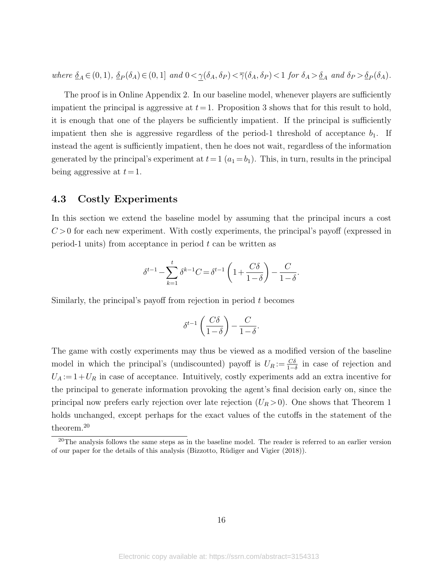where  $\underline{\delta}_A \in (0,1)$ ,  $\underline{\delta}_P(\delta_A) \in (0,1]$  and  $0 < \underline{\gamma}(\delta_A, \delta_P) < \overline{\gamma}(\delta_A, \delta_P) < 1$  for  $\delta_A > \underline{\delta}_A$  and  $\delta_P > \underline{\delta}_P(\delta_A)$ .

The proof is in Online Appendix 2. In our baseline model, whenever players are sufficiently impatient the principal is aggressive at  $t=1$ . Proposition [3](#page-15-2) shows that for this result to hold, it is enough that one of the players be sufficiently impatient. If the principal is sufficiently impatient then she is aggressive regardless of the period-1 threshold of acceptance  $b_1$ . If instead the agent is sufficiently impatient, then he does not wait, regardless of the information generated by the principal's experiment at  $t=1$   $(a_1=b_1)$ . This, in turn, results in the principal being aggressive at  $t = 1$ .

### 4.3 Costly Experiments

In this section we extend the baseline model by assuming that the principal incurs a cost  $C > 0$  for each new experiment. With costly experiments, the principal's payoff (expressed in period-1 units) from acceptance in period  $t$  can be written as

$$
\delta^{t-1} - \sum_{k=1}^t \delta^{k-1} C = \delta^{t-1} \left( 1 + \frac{C\delta}{1-\delta} \right) - \frac{C}{1-\delta}.
$$

Similarly, the principal's payoff from rejection in period  $t$  becomes

$$
\delta^{t-1}\left(\frac{C\delta}{1-\delta}\right) - \frac{C}{1-\delta}.
$$

The game with costly experiments may thus be viewed as a modified version of the baseline model in which the principal's (undiscounted) payoff is  $U_R := \frac{C\delta}{1-\delta}$  in case of rejection and  $U_A = 1 + U_R$  in case of acceptance. Intuitively, costly experiments add an extra incentive for the principal to generate information provoking the agent's final decision early on, since the principal now prefers early rejection over late rejection  $(U_R > 0)$ . One shows that Theorem [1](#page-8-2) holds unchanged, except perhaps for the exact values of the cutoffs in the statement of the theorem.[20](#page-16-0)

<span id="page-16-0"></span> $^{20}$ The analysis follows the same steps as in the baseline model. The reader is referred to an earlier version of our paper for the details of this analysis [\(Bizzotto, R¨udiger and Vigier](#page-36-13) [\(2018\)](#page-36-13)).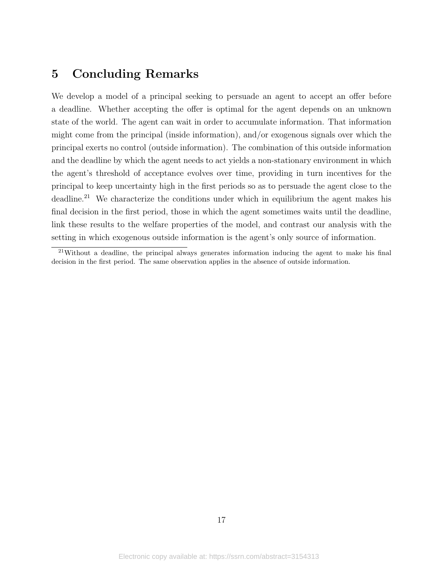## <span id="page-17-0"></span>5 Concluding Remarks

We develop a model of a principal seeking to persuade an agent to accept an offer before a deadline. Whether accepting the offer is optimal for the agent depends on an unknown state of the world. The agent can wait in order to accumulate information. That information might come from the principal (inside information), and/or exogenous signals over which the principal exerts no control (outside information). The combination of this outside information and the deadline by which the agent needs to act yields a non-stationary environment in which the agent's threshold of acceptance evolves over time, providing in turn incentives for the principal to keep uncertainty high in the first periods so as to persuade the agent close to the deadline.<sup>[21](#page-17-1)</sup> We characterize the conditions under which in equilibrium the agent makes his final decision in the first period, those in which the agent sometimes waits until the deadline, link these results to the welfare properties of the model, and contrast our analysis with the setting in which exogenous outside information is the agent's only source of information.

<span id="page-17-1"></span> $^{21}$ Without a deadline, the principal always generates information inducing the agent to make his final decision in the first period. The same observation applies in the absence of outside information.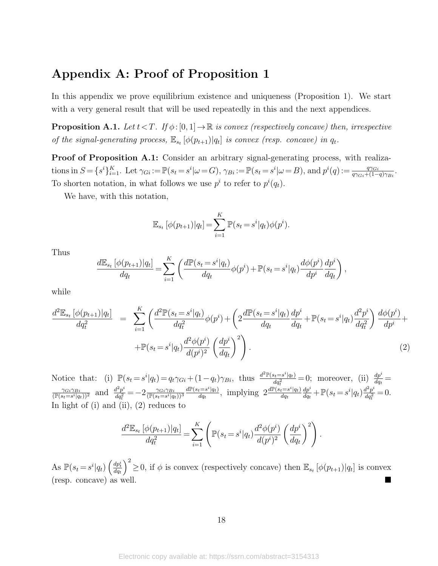## Appendix A: Proof of Proposition [1](#page-6-4)

In this appendix we prove equilibrium existence and uniqueness (Proposition [1\)](#page-6-4). We start with a very general result that will be used repeatedly in this and the next appendices.

**Proposition A.1.** Let  $t < T$ . If  $\phi : [0, 1] \to \mathbb{R}$  is convex (respectively concave) then, irrespective of the signal-generating process,  $\mathbb{E}_{s_t} [\phi(p_{t+1})|q_t]$  is convex (resp. concave) in  $q_t$ .

Proof of Proposition [A.1:](#page-6-4) Consider an arbitrary signal-generating process, with realizations in  $S = \{s^i\}_{i=1}^K$ . Let  $\gamma_{Gi} := \mathbb{P}(s_t = s^i | \omega = G)$ ,  $\gamma_{Bi} := \mathbb{P}(s_t = s^i | \omega = B)$ , and  $p^i(q) := \frac{q\gamma_{Gi}}{q\gamma_{Gi} + (1-q)\gamma_{Bi}}$ . To shorten notation, in what follows we use  $p^i$  to refer to  $p^i(q_t)$ .

We have, with this notation,

$$
\mathbb{E}_{s_t} [\phi(p_{t+1}) | q_t] = \sum_{i=1}^K \mathbb{P}(s_t = s^i | q_t) \phi(p^i).
$$

Thus

$$
\frac{d\mathbb{E}_{s_t}[\phi(p_{t+1})|q_t]}{dq_t} = \sum_{i=1}^K \left( \frac{d\mathbb{P}(s_t = s^i|q_t)}{dq_t} \phi(p^i) + \mathbb{P}(s_t = s^i|q_t) \frac{d\phi(p^i)}{dp^i} \frac{dp^i}{dq_t} \right),
$$

while

<span id="page-18-0"></span>
$$
\frac{d^2 \mathbb{E}_{s_t} [\phi(p_{t+1}) | q_t]}{dq_t^2} = \sum_{i=1}^K \left( \frac{d^2 \mathbb{P}(s_t = s^i | q_t)}{dq_t^2} \phi(p^i) + \left( 2 \frac{d \mathbb{P}(s_t = s^i | q_t)}{dq_t} \frac{dp^i}{dq_t} + \mathbb{P}(s_t = s^i | q_t) \frac{d^2 p^i}{dq_t^2} \right) \frac{d \phi(p^i)}{dp^i} + \mathbb{P}(s_t = s^i | q_t) \frac{d^2 \phi(p^i)}{d(p^i)^2} \left( \frac{dp^i}{dq_t} \right)^2 \right). \tag{2}
$$

Notice that: (i)  $\mathbb{P}(s_t = s^i | q_t) = q_t \gamma_{Gi} + (1 - q_t) \gamma_{Bi}$ , thus  $\frac{d^2 \mathbb{P}(s_t = s^i | q_t)}{d a^2}$  $\frac{ds_t = s^i | q_t}{dq_t^2} = 0$ ; moreover, (ii)  $\frac{dp^i}{dq_t} =$  $\frac{\gamma_{Gi}\gamma_{Bi}}{(\mathbb{P}(s_t=s^i|q_t))^2}$  and  $\frac{d^2p^i}{dq_t^2}$  $\frac{d^2 p^i}{dq_t^2} = -2 \frac{\gamma_{Gi}\gamma_{Bi}}{(\mathbb{P}(s_t = s^i | q_t))^3}$  $d\mathbb{P}(s_t = s^i | q_t)$  $\frac{d e^{-s^i |q_t}}{dq_t}$ , implying  $2 \frac{d \mathbb{P}(s_t = s^i | q_t)}{dq_t}$  $dq_t$  $dp^i$  $\frac{dp^i}{dq_t} + \mathbb{P}(s_t = s^i|q_t)\frac{d^2p^i}{dq_t^2}$  $rac{d^2p^i}{dq^2_t}=0.$ In light of  $(i)$  and  $(ii)$ ,  $(2)$  reduces to

$$
\frac{d^2 \mathbb{E}_{s_t} [\phi(p_{t+1}) | q_t]}{dq_t^2} = \sum_{i=1}^K \left( \mathbb{P}(s_t = s^i | q_t) \frac{d^2 \phi(p^i)}{d(p^i)^2} \left( \frac{dp^i}{dq_t} \right)^2 \right).
$$

As  $\mathbb{P}(s_t = s^i | q_t) \left( \frac{dp_t^i}{dq_t} \right)$  $\int^2 \geq 0$ , if  $\phi$  is convex (respectively concave) then  $\mathbb{E}_{s_t}[\phi(p_{t+1})|q_t]$  is convex (resp. concave) as well.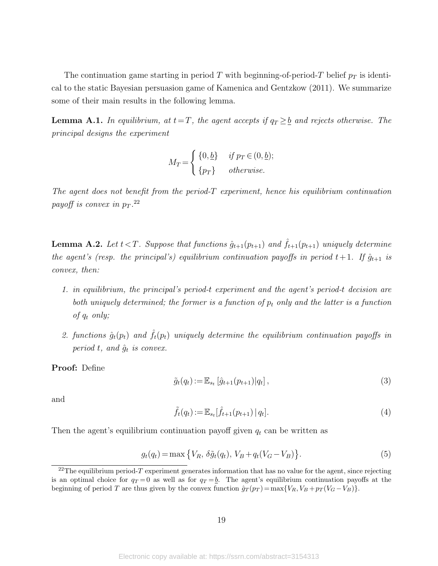The continuation game starting in period T with beginning-of-period-T belief  $p_T$  is identical to the static Bayesian persuasion game of [Kamenica and Gentzkow](#page-36-0) [\(2011\)](#page-36-0). We summarize some of their main results in the following lemma.

**Lemma A.1.** In equilibrium, at  $t=T$ , the agent accepts if  $q_T \geq b$  and rejects otherwise. The principal designs the experiment

$$
M_T = \begin{cases} \{0, \underline{b}\} & \text{if } p_T \in (0, \underline{b});\\ \{p_T\} & \text{otherwise.} \end{cases}
$$

The agent does not benefit from the period-T experiment, hence his equilibrium continuation payoff is convex in  $p_T$ .<sup>[22](#page-19-0)</sup>

**Lemma A.2.** Let  $t < T$ . Suppose that functions  $\hat{g}_{t+1}(p_{t+1})$  and  $\hat{f}_{t+1}(p_{t+1})$  uniquely determine the agent's (resp. the principal's) equilibrium continuation payoffs in period  $t+1$ . If  $\hat{g}_{t+1}$  is convex, then:

- 1. in equilibrium, the principal's period-t experiment and the agent's period-t decision are both uniquely determined; the former is a function of  $p_t$  only and the latter is a function of  $q_t$  only;
- 2. functions  $\hat{g}_t(p_t)$  and  $\hat{f}_t(p_t)$  uniquely determine the equilibrium continuation payoffs in period t, and  $\hat{g}_t$  is convex.

Proof: Define

<span id="page-19-3"></span>
$$
\tilde{g}_t(q_t) := \mathbb{E}_{s_t} \left[ \hat{g}_{t+1}(p_{t+1}) | q_t \right],\tag{3}
$$

and

<span id="page-19-2"></span>
$$
\tilde{f}_t(q_t) := \mathbb{E}_{s_t}[\hat{f}_{t+1}(p_{t+1}) | q_t].
$$
\n(4)

Then the agent's equilibrium continuation payoff given  $q_t$  can be written as

<span id="page-19-1"></span>
$$
g_t(q_t) = \max\left\{V_R, \,\delta\tilde{g}_t(q_t), \, V_B + q_t(V_G - V_B)\right\}.\tag{5}
$$

<span id="page-19-0"></span><sup>&</sup>lt;sup>22</sup>The equilibrium period-T experiment generates information that has no value for the agent, since rejecting is an optimal choice for  $q_T = 0$  as well as for  $q_T = b$ . The agent's equilibrium continuation payoffs at the beginning of period T are thus given by the convex function  $\hat{g}_T(p_T) = \max\{V_R, V_B + p_T(V_G - V_B)\}.$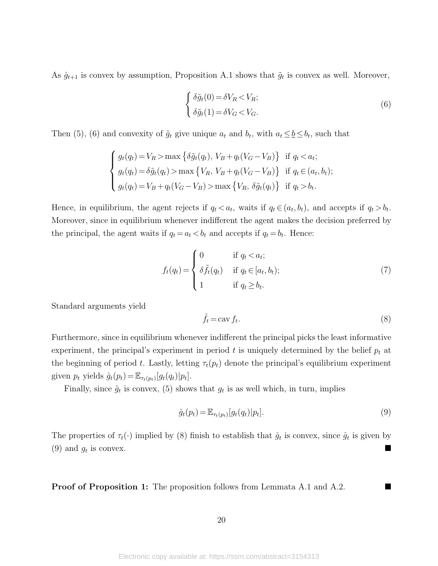As  $\hat{g}_{t+1}$  is convex by assumption, Proposition [A.1](#page-6-4) shows that  $\tilde{g}_t$  is convex as well. Moreover,

<span id="page-20-0"></span>
$$
\begin{cases}\n\delta \tilde{g}_t(0) = \delta V_R < V_R; \\
\delta \tilde{g}_t(1) = \delta V_G < V_G.\n\end{cases} \tag{6}
$$

Then [\(5\)](#page-19-1), [\(6\)](#page-20-0) and convexity of  $\tilde{g}_t$  give unique  $a_t$  and  $b_t$ , with  $a_t \leq b \leq b_t$ , such that

$$
\begin{cases}\ng_t(q_t) = V_R > \max\left\{\delta \tilde{g}_t(q_t), \ V_B + q_t(V_G - V_B)\right\} \text{ if } q_t < a_t; \\
g_t(q_t) = \delta \tilde{g}_t(q_t) > \max\left\{V_R, \ V_B + q_t(V_G - V_B)\right\} \text{ if } q_t \in (a_t, b_t); \\
g_t(q_t) = V_B + q_t(V_G - V_B) > \max\left\{V_R, \ \delta \tilde{g}_t(q_t)\right\} \text{ if } q_t > b_t.\n\end{cases}
$$

Hence, in equilibrium, the agent rejects if  $q_t < a_t$ , waits if  $q_t \in (a_t, b_t)$ , and accepts if  $q_t > b_t$ . Moreover, since in equilibrium whenever indifferent the agent makes the decision preferred by the principal, the agent waits if  $q_t = a_t < b_t$  and accepts if  $q_t = b_t$ . Hence:

<span id="page-20-3"></span>
$$
f_t(q_t) = \begin{cases} 0 & \text{if } q_t < a_t; \\ \delta \tilde{f}_t(q_t) & \text{if } q_t \in [a_t, b_t); \\ 1 & \text{if } q_t \ge b_t. \end{cases}
$$
 (7)

Standard arguments yield

<span id="page-20-1"></span>
$$
\hat{f}_t = \text{cav}\,f_t. \tag{8}
$$

Furthermore, since in equilibrium whenever indifferent the principal picks the least informative experiment, the principal's experiment in period t is uniquely determined by the belief  $p_t$  at the beginning of period t. Lastly, letting  $\tau_t(p_t)$  denote the principal's equilibrium experiment given  $p_t$  yields  $\hat{g}_t(p_t) = \mathbb{E}_{\tau_t(p_t)}[g_t(q_t)|p_t].$ 

Finally, since  $\tilde{g}_t$  is convex, [\(5\)](#page-19-1) shows that  $g_t$  is as well which, in turn, implies

<span id="page-20-2"></span>
$$
\hat{g}_t(p_t) = \mathbb{E}_{\tau_t(p_t)}[g_t(q_t)|p_t].
$$
\n
$$
(9)
$$

The properties of  $\tau_t(\cdot)$  implied by [\(8\)](#page-20-1) finish to establish that  $\hat{g}_t$  is convex, since  $\hat{g}_t$  is given by  $(9)$  and  $g_t$  is convex. is convex.

**Proof of Proposition [1:](#page-6-4)** The proposition follows from Lemmata [A.1](#page-7-1) and [A.2.](#page-7-2)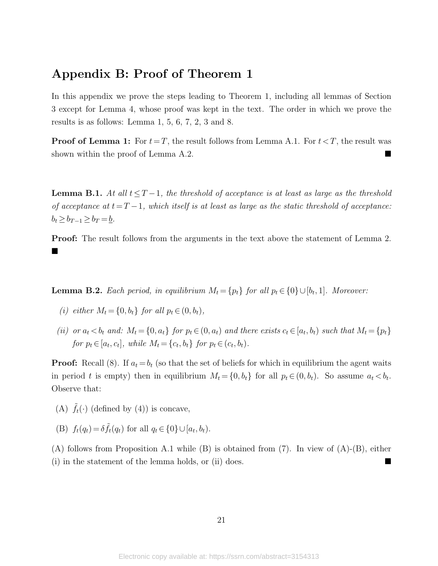## Appendix B: Proof of Theorem [1](#page-8-2)

In this appendix we prove the steps leading to Theorem [1,](#page-8-2) including all lemmas of Section [3](#page-6-0) except for Lemma [4,](#page-12-3) whose proof was kept in the text. The order in which we prove the results is as follows: Lemma [1,](#page-7-1) [5,](#page-13-1) [6,](#page-13-2) [7,](#page-13-4) [2,](#page-7-2) [3](#page-8-3) and [8.](#page-14-1)

**Proof of Lemma [1:](#page-7-1)** For  $t = T$ , the result follows from Lemma [A.1.](#page-7-1) For  $t < T$ , the result was shown within the proof of Lemma [A.2.](#page-7-2)

**Lemma B.1.** At all  $t < T-1$ , the threshold of acceptance is at least as large as the threshold of acceptance at  $t=T-1$ , which itself is at least as large as the static threshold of acceptance:  $b_t \geq b_{T-1} \geq b_T = \underline{b}.$ 

Proof: The result follows from the arguments in the text above the statement of Lemma [2.](#page-7-2)  $\blacksquare$ 

**Lemma B.2.** Each period, in equilibrium  $M_t = \{p_t\}$  for all  $p_t \in \{0\} \cup [b_t, 1]$ . Moreover:

- (i) either  $M_t = \{0, b_t\}$  for all  $p_t \in (0, b_t)$ ,
- (ii) or  $a_t < b_t$  and:  $M_t = \{0, a_t\}$  for  $p_t \in (0, a_t)$  and there exists  $c_t \in [a_t, b_t)$  such that  $M_t = \{p_t\}$ for  $p_t \in [a_t, c_t]$ , while  $M_t = \{c_t, b_t\}$  for  $p_t \in (c_t, b_t)$ .

**Proof:** Recall [\(8\)](#page-20-1). If  $a_t = b_t$  (so that the set of beliefs for which in equilibrium the agent waits in period t is empty) then in equilibrium  $M_t = \{0, b_t\}$  for all  $p_t \in (0, b_t)$ . So assume  $a_t < b_t$ . Observe that:

- (A)  $\hat{f}_t(\cdot)$  (defined by [\(4\)](#page-19-2)) is concave,
- (B)  $f_t(q_t) = \delta \tilde{f}_t(q_t)$  for all  $q_t \in \{0\} \cup [a_t, b_t)$ .

(A) follows from Proposition [A.1](#page-6-4) while (B) is obtained from [\(7\)](#page-20-3). In view of (A)-(B), either (i) in the statement of the lemma holds, or (ii) does.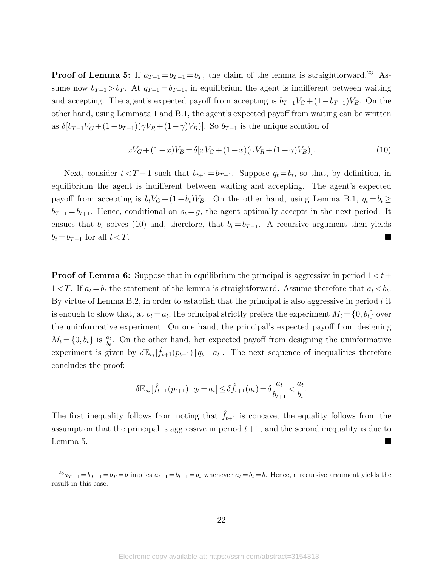**Proof of Lemma [5:](#page-13-1)** If  $a_{T-1} = b_{T-1} = b_T$ , the claim of the lemma is straightforward.<sup>[23](#page-22-0)</sup> Assume now  $b_{T-1} > b_T$ . At  $q_{T-1} = b_{T-1}$ , in equilibrium the agent is indifferent between waiting and accepting. The agent's expected payoff from accepting is  $b_{T-1}V_G + (1-b_{T-1})V_B$ . On the other hand, using Lemmata [1](#page-7-1) and [B.1,](#page-7-1) the agent's expected payoff from waiting can be written as  $\delta[b_{T-1}V_G+(1-b_{T-1})(\gamma V_R+(1-\gamma)V_B)]$ . So  $b_{T-1}$  is the unique solution of

<span id="page-22-1"></span>
$$
xV_G + (1-x)V_B = \delta[xV_G + (1-x)(\gamma V_R + (1-\gamma)V_B)].
$$
\n(10)

Next, consider  $t < T - 1$  such that  $b_{t+1} = b_{T-1}$ . Suppose  $q_t = b_t$ , so that, by definition, in equilibrium the agent is indifferent between waiting and accepting. The agent's expected payoff from accepting is  $b_tV_G + (1-b_t)V_B$ . On the other hand, using Lemma [B.1,](#page-7-1)  $q_t = b_t \ge$  $b_{T-1} = b_{t+1}$ . Hence, conditional on  $s_t = g$ , the agent optimally accepts in the next period. It ensues that  $b_t$  solves [\(10\)](#page-22-1) and, therefore, that  $b_t = b_{T-1}$ . A recursive argument then yields  $b_t = b_{T-1}$  for all  $t < T$ .

**Proof of Lemma [6:](#page-13-2)** Suppose that in equilibrium the principal is aggressive in period  $1 < t$ +  $1 < T$ . If  $a_t = b_t$  the statement of the lemma is straightforward. Assume therefore that  $a_t < b_t$ . By virtue of Lemma [B.2,](#page-7-2) in order to establish that the principal is also aggressive in period  $t$  it is enough to show that, at  $p_t = a_t$ , the principal strictly prefers the experiment  $M_t = \{0, b_t\}$  over the uninformative experiment. On one hand, the principal's expected payoff from designing  $M_t = \{0, b_t\}$  is  $\frac{a_t}{b_t}$ . On the other hand, her expected payoff from designing the uninformative experiment is given by  $\delta \mathbb{E}_{s_t}[\hat{f}_{t+1}(p_{t+1})|q_t = a_t]$ . The next sequence of inequalities therefore concludes the proof:

$$
\delta \mathbb{E}_{s_t}[\hat{f}_{t+1}(p_{t+1}) | q_t = a_t] \leq \delta \hat{f}_{t+1}(a_t) = \delta \frac{a_t}{b_{t+1}} < \frac{a_t}{b_t}.
$$

The first inequality follows from noting that  $\tilde{f}_{t+1}$  is concave; the equality follows from the assumption that the principal is aggressive in period  $t+1$ , and the second inequality is due to Lemma [5.](#page-13-1)

<span id="page-22-0"></span> $^{23}a_{T-1} = b_{T-1} = b_T = b$  implies  $a_{t-1} = b_{t-1} = b_t$  whenever  $a_t = b_t = b$ . Hence, a recursive argument yields the result in this case.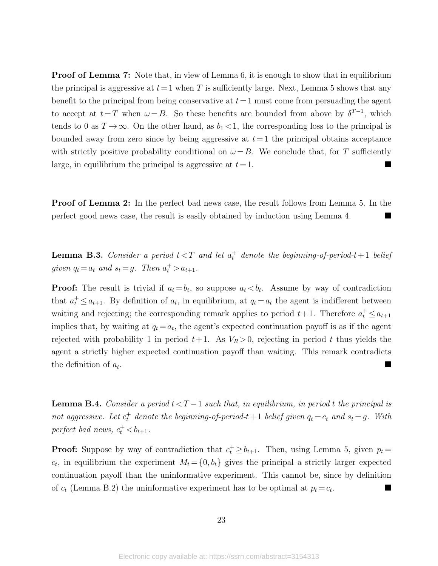**Proof of Lemma [7:](#page-13-4)** Note that, in view of Lemma [6,](#page-13-2) it is enough to show that in equilibrium the principal is aggressive at  $t=1$  when T is sufficiently large. Next, Lemma [5](#page-13-1) shows that any benefit to the principal from being conservative at  $t=1$  must come from persuading the agent to accept at  $t=T$  when  $\omega = B$ . So these benefits are bounded from above by  $\delta^{T-1}$ , which tends to 0 as  $T \to \infty$ . On the other hand, as  $b_1 < 1$ , the corresponding loss to the principal is bounded away from zero since by being aggressive at  $t=1$  the principal obtains acceptance with strictly positive probability conditional on  $\omega = B$ . We conclude that, for T sufficiently large, in equilibrium the principal is aggressive at  $t = 1$ .

**Proof of Lemma [2:](#page-7-2)** In the perfect bad news case, the result follows from Lemma [5.](#page-13-1) In the perfect good news case, the result is easily obtained by induction using Lemma [4.](#page-12-3)

**Lemma B.3.** Consider a period  $t < T$  and let  $a_t^+$  denote the beginning-of-period- $t+1$  belief given  $q_t = a_t$  and  $s_t = g$ . Then  $a_t^+ > a_{t+1}$ .

**Proof:** The result is trivial if  $a_t = b_t$ , so suppose  $a_t < b_t$ . Assume by way of contradiction that  $a_t^+ \le a_{t+1}$ . By definition of  $a_t$ , in equilibrium, at  $q_t = a_t$  the agent is indifferent between waiting and rejecting; the corresponding remark applies to period  $t+1$ . Therefore  $a_t^+ \le a_{t+1}$ implies that, by waiting at  $q_t = a_t$ , the agent's expected continuation payoff is as if the agent rejected with probability 1 in period  $t+1$ . As  $V_R > 0$ , rejecting in period t thus yields the agent a strictly higher expected continuation payoff than waiting. This remark contradicts the definition of  $a_t$ . .

**Lemma B.4.** Consider a period  $t < T-1$  such that, in equilibrium, in period t the principal is not aggressive. Let  $c_t^+$  denote the beginning-of-period-t + 1 belief given  $q_t = c_t$  and  $s_t = g$ . With perfect bad news,  $c_t^+ < b_{t+1}$ .

**Proof:** Suppose by way of contradiction that  $c_t^+ \ge b_{t+1}$ . Then, using Lemma [5,](#page-13-1) given  $p_t =$  $c_t$ , in equilibrium the experiment  $M_t = \{0, b_t\}$  gives the principal a strictly larger expected continuation payoff than the uninformative experiment. This cannot be, since by definition of  $c_t$  (Lemma [B.2\)](#page-7-2) the uninformative experiment has to be optimal at  $p_t = c_t$ . .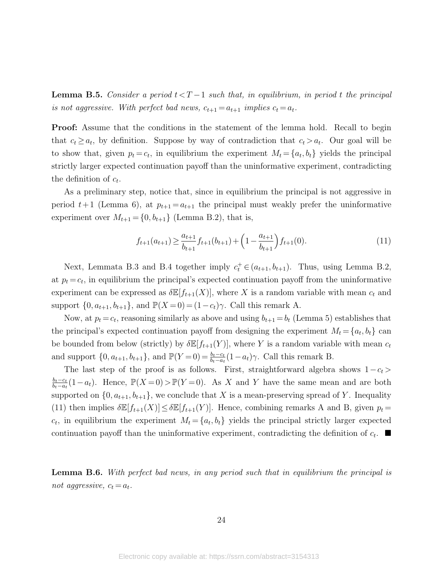**Lemma B.5.** Consider a period  $t < T-1$  such that, in equilibrium, in period t the principal is not aggressive. With perfect bad news,  $c_{t+1} = a_{t+1}$  implies  $c_t = a_t$ .

Proof: Assume that the conditions in the statement of the lemma hold. Recall to begin that  $c_t \geq a_t$ , by definition. Suppose by way of contradiction that  $c_t > a_t$ . Our goal will be to show that, given  $p_t = c_t$ , in equilibrium the experiment  $M_t = \{a_t, b_t\}$  yields the principal strictly larger expected continuation payoff than the uninformative experiment, contradicting the definition of  $c_t$ .

As a preliminary step, notice that, since in equilibrium the principal is not aggressive in period  $t+1$  (Lemma [6\)](#page-13-2), at  $p_{t+1} = a_{t+1}$  the principal must weakly prefer the uninformative experiment over  $M_{t+1} = \{0, b_{t+1}\}$  (Lemma [B.2\)](#page-7-2), that is,

<span id="page-24-0"></span>
$$
f_{t+1}(a_{t+1}) \ge \frac{a_{t+1}}{b_{t+1}} f_{t+1}(b_{t+1}) + \left(1 - \frac{a_{t+1}}{b_{t+1}}\right) f_{t+1}(0). \tag{11}
$$

Next, Lemmata [B.3](#page-8-3) and [B.4](#page-12-3) together imply  $c_t^+ \in (a_{t+1}, b_{t+1})$ . Thus, using Lemma [B.2,](#page-7-2) at  $p_t = c_t$ , in equilibrium the principal's expected continuation payoff from the uninformative experiment can be expressed as  $\delta \mathbb{E}[f_{t+1}(X)]$ , where X is a random variable with mean  $c_t$  and support  $\{0, a_{t+1}, b_{t+1}\}$ , and  $\mathbb{P}(X=0) = (1-c_t)\gamma$ . Call this remark A.

Now, at  $p_t = c_t$ , reasoning similarly as above and using  $b_{t+1} = b_t$  (Lemma [5\)](#page-13-1) establishes that the principal's expected continuation payoff from designing the experiment  $M_t = \{a_t, b_t\}$  can be bounded from below (strictly) by  $\delta \mathbb{E}[f_{t+1}(Y)]$ , where Y is a random variable with mean  $c_t$ and support  $\{0, a_{t+1}, b_{t+1}\}$ , and  $\mathbb{P}(Y=0) = \frac{b_t - c_t}{b_t - a_t}(1 - a_t)\gamma$ . Call this remark B.

The last step of the proof is as follows. First, straightforward algebra shows  $1-c_t$  $b_t$ − $c_t$  $\frac{b_t-c_t}{b_t-a_t}(1-a_t)$ . Hence,  $\mathbb{P}(X=0) > \mathbb{P}(Y=0)$ . As X and Y have the same mean and are both supported on  $\{0, a_{t+1}, b_{t+1}\}$ , we conclude that X is a mean-preserving spread of Y. Inequality [\(11\)](#page-24-0) then implies  $\delta \mathbb{E}[f_{t+1}(X)] \leq \delta \mathbb{E}[f_{t+1}(Y)]$ . Hence, combining remarks A and B, given  $p_t =$  $c_t$ , in equilibrium the experiment  $M_t = \{a_t, b_t\}$  yields the principal strictly larger expected continuation payoff than the uninformative experiment, contradicting the definition of  $c_t$ .

Lemma B.6. With perfect bad news, in any period such that in equilibrium the principal is not aggressive,  $c_t = a_t$ .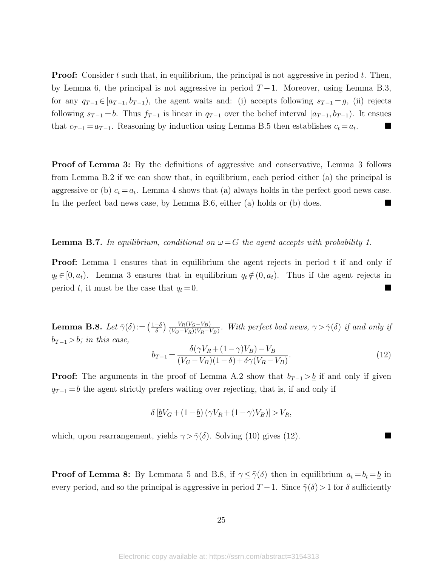**Proof:** Consider t such that, in equilibrium, the principal is not aggressive in period t. Then, by Lemma [6,](#page-13-2) the principal is not aggressive in period  $T-1$ . Moreover, using Lemma [B.3,](#page-8-3) for any  $q_{T-1} \in [a_{T-1}, b_{T-1})$ , the agent waits and: (i) accepts following  $s_{T-1} = g$ , (ii) rejects following  $s_{T-1} = b$ . Thus  $f_{T-1}$  is linear in  $q_{T-1}$  over the belief interval  $[a_{T-1}, b_{T-1})$ . It ensues that  $c_{T-1} = a_{T-1}$ . Reasoning by induction using Lemma [B.5](#page-13-1) then establishes  $c_t = a_t$ . .

Proof of Lemma [3:](#page-8-3) By the definitions of aggressive and conservative, Lemma [3](#page-8-3) follows from Lemma [B.2](#page-7-2) if we can show that, in equilibrium, each period either (a) the principal is aggressive or (b)  $c_t = a_t$ . Lemma [4](#page-12-3) shows that (a) always holds in the perfect good news case. In the perfect bad news case, by Lemma [B.6,](#page-13-2) either (a) holds or (b) does.

#### **Lemma B.7.** In equilibrium, conditional on  $\omega = G$  the agent accepts with probability 1.

**Proof:** Lemma [1](#page-7-1) ensures that in equilibrium the agent rejects in period  $t$  if and only if  $q_t \in [0, a_t)$ . Lemma [3](#page-8-3) ensures that in equilibrium  $q_t \notin (0, a_t)$ . Thus if the agent rejects in period t, it must be the case that  $q_t = 0$ .

**Lemma B.8.** Let  $\tilde{\gamma}(\delta) := \left(\frac{1-\delta}{\delta}\right)$  $\frac{-\delta}{\delta}$ )  $\frac{V_R(V_G-V_B)}{(V_G-V_R)(V_R-V_B)}$ . With perfect bad news,  $\gamma > \tilde{\gamma}(\delta)$  if and only if  $b_{T-1} > b$ ; in this case,

<span id="page-25-0"></span>
$$
b_{T-1} = \frac{\delta(\gamma V_R + (1 - \gamma)V_B) - V_B}{(V_G - V_B)(1 - \delta) + \delta\gamma(V_R - V_B)}.\tag{12}
$$

**Proof:** The arguments in the proof of Lemma [A.2](#page-7-2) show that  $b_{T-1} > b$  if and only if given  $q_{T-1} = \underline{b}$  the agent strictly prefers waiting over rejecting, that is, if and only if

$$
\delta \left[ \underline{b}V_G + (1 - \underline{b}) \left( \gamma V_R + (1 - \gamma) V_B \right) \right] > V_R,
$$

which, upon rearrangement, yields  $\gamma > \tilde{\gamma}(\delta)$ . Solving [\(10\)](#page-22-1) gives [\(12\)](#page-25-0).

**Proof of Lemma [8:](#page-14-1)** By Lemmata [5](#page-13-1) and [B.8,](#page-14-1) if  $\gamma \leq \tilde{\gamma}(\delta)$  then in equilibrium  $a_t = b_t = b$  in every period, and so the principal is aggressive in period  $T-1$ . Since  $\tilde{\gamma}(\delta) > 1$  for  $\delta$  sufficiently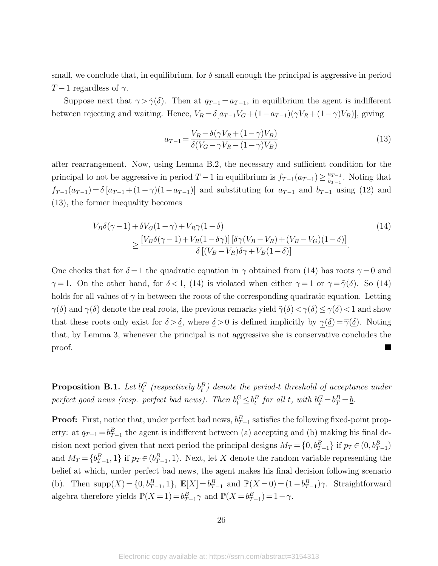small, we conclude that, in equilibrium, for  $\delta$  small enough the principal is aggressive in period  $T-1$  regardless of  $\gamma$ .

Suppose next that  $\gamma > \tilde{\gamma}(\delta)$ . Then at  $q_{T-1} = a_{T-1}$ , in equilibrium the agent is indifferent between rejecting and waiting. Hence,  $V_R = \delta[a_{T-1}V_G + (1-a_{T-1})(\gamma V_R + (1-\gamma)V_B)]$ , giving

<span id="page-26-1"></span><span id="page-26-0"></span>
$$
a_{T-1} = \frac{V_R - \delta(\gamma V_R + (1 - \gamma)V_B)}{\delta(V_G - \gamma V_R - (1 - \gamma)V_B)}
$$
\n
$$
\tag{13}
$$

after rearrangement. Now, using Lemma [B.2,](#page-7-2) the necessary and sufficient condition for the principal to not be aggressive in period  $T-1$  in equilibrium is  $f_{T-1}(a_{T-1}) \geq \frac{a_{T-1}}{b_{T-1}}$  $\frac{a_{T-1}}{b_{T-1}}$ . Noting that  $f_{T-1}(a_{T-1}) = \delta [a_{T-1} + (1-\gamma)(1-a_{T-1})]$  and substituting for  $a_{T-1}$  and  $b_{T-1}$  using [\(12\)](#page-25-0) and [\(13\)](#page-26-0), the former inequality becomes

$$
V_B \delta(\gamma - 1) + \delta V_G (1 - \gamma) + V_R \gamma (1 - \delta)
$$
  
\n
$$
\geq \frac{[V_B \delta(\gamma - 1) + V_R (1 - \delta \gamma)] [\delta \gamma (V_B - V_R) + (V_B - V_G)(1 - \delta)]}{\delta [(V_B - V_R) \delta \gamma + V_B (1 - \delta)]}.
$$
\n(14)

One checks that for  $\delta = 1$  the quadratic equation in  $\gamma$  obtained from [\(14\)](#page-26-1) has roots  $\gamma = 0$  and  $\gamma = 1$ . On the other hand, for  $\delta < 1$ , [\(14\)](#page-26-1) is violated when either  $\gamma = 1$  or  $\gamma = \tilde{\gamma}(\delta)$ . So (14) holds for all values of  $\gamma$  in between the roots of the corresponding quadratic equation. Letting  $\gamma(\delta)$  and  $\overline{\gamma}(\delta)$  denote the real roots, the previous remarks yield  $\tilde{\gamma}(\delta) < \gamma(\delta) \leq \overline{\gamma}(\delta) < 1$  and show that these roots only exist for  $\delta > \underline{\delta}$ , where  $\underline{\delta} > 0$  is defined implicitly by  $\gamma(\underline{\delta}) = \overline{\gamma}(\underline{\delta})$ . Noting that, by Lemma [3,](#page-8-3) whenever the principal is not aggressive she is conservative concludes the proof.

**Proposition B.1.** Let  $b_t^G$  (respectively  $b_t^B$ ) denote the period-t threshold of acceptance under perfect good news (resp. perfect bad news). Then  $b_t^G \leq b_t^B$  for all t, with  $b_T^G = b_T^B = \underline{b}$ .

**Proof:** First, notice that, under perfect bad news,  $b_{T-1}^B$  satisfies the following fixed-point property: at  $q_{T-1} = b_{T-1}^B$  the agent is indifferent between (a) accepting and (b) making his final decision next period given that next period the principal designs  $M_T = \{0, b_{T-1}^B\}$  if  $p_T \in (0, b_{T-1}^B)$ and  $M_T = \{b_{T-1}^B, 1\}$  if  $p_T \in (b_{T-1}^B, 1)$ . Next, let X denote the random variable representing the belief at which, under perfect bad news, the agent makes his final decision following scenario (b). Then  $\text{supp}(X) = \{0, b_{T-1}^B, 1\}, \ \mathbb{E}[X] = b_{T-1}^B \text{ and } \mathbb{P}(X = 0) = (1 - b_{T-1}^B)\gamma.$  Straightforward algebra therefore yields  $\mathbb{P}(X=1) = b_{T-1}^B \gamma$  and  $\mathbb{P}(X=b_{T-1}^B) = 1-\gamma$ .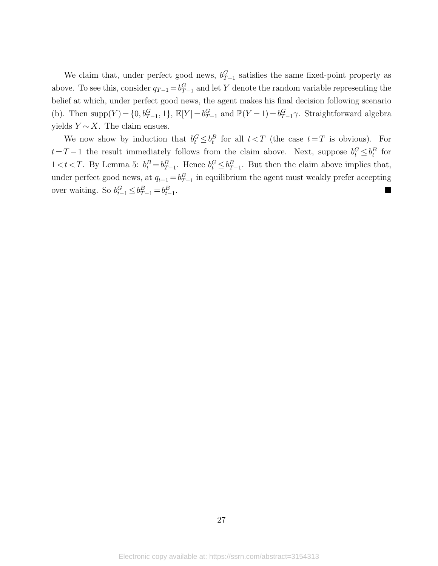We claim that, under perfect good news,  $b_{T-1}^G$  satisfies the same fixed-point property as above. To see this, consider  $q_{T-1} = b_{T-1}^G$  and let Y denote the random variable representing the belief at which, under perfect good news, the agent makes his final decision following scenario (b). Then  $\text{supp}(Y) = \{0, b_{T-1}^G, 1\}$ ,  $\mathbb{E}[Y] = b_{T-1}^G$  and  $\mathbb{P}(Y = 1) = b_{T-1}^G \gamma$ . Straightforward algebra yields  $Y \sim X$ . The claim ensues.

We now show by induction that  $b_t^G \leq b_t^B$  for all  $t < T$  (the case  $t = T$  is obvious). For  $t=T-1$  the result immediately follows from the claim above. Next, suppose  $b_t^G \leq b_t^B$  for  $1 < t < T$ . By Lemma [5:](#page-13-1)  $b_t^B = b_{T-1}^B$ . Hence  $b_t^G \leq b_{T-1}^B$ . But then the claim above implies that, under perfect good news, at  $q_{t-1} = b_{T-1}^B$  in equilibrium the agent must weakly prefer accepting over waiting. So  $b_{t-1}^G \leq b_{T-1}^B = b_{t-1}^B$ .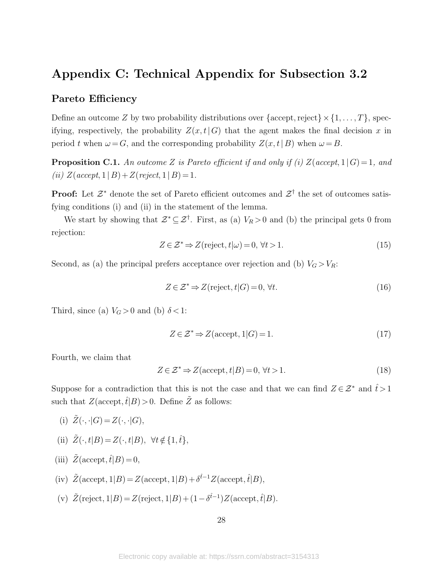### Appendix C: Technical Appendix for Subsection [3.2](#page-10-0)

### Pareto Efficiency

Define an outcome Z by two probability distributions over  $\{\text{accept},\text{reject}\}\times\{1,\ldots,T\},\text{spec-}$ ifying, respectively, the probability  $Z(x,t|G)$  that the agent makes the final decision x in period t when  $\omega = G$ , and the corresponding probability  $Z(x, t | B)$  when  $\omega = B$ .

**Proposition C.1.** An outcome Z is Pareto efficient if and only if (i)  $Z(accept, 1 | G) = 1$ , and (ii)  $Z(accept, 1 | B) + Z(reject, 1 | B) = 1.$ 

**Proof:** Let  $\mathcal{Z}^*$  denote the set of Pareto efficient outcomes and  $\mathcal{Z}^{\dagger}$  the set of outcomes satisfying conditions (i) and (ii) in the statement of the lemma.

We start by showing that  $\mathcal{Z}^* \subseteq \mathcal{Z}^{\dagger}$ . First, as (a)  $V_R > 0$  and (b) the principal gets 0 from rejection:

<span id="page-28-0"></span>
$$
Z \in \mathcal{Z}^* \Rightarrow Z(\text{reject}, t | \omega) = 0, \forall t > 1.
$$
\n
$$
(15)
$$

Second, as (a) the principal prefers acceptance over rejection and (b)  $V_G > V_R$ :

$$
Z \in \mathcal{Z}^* \Rightarrow Z(\text{reject}, t | G) = 0, \forall t. \tag{16}
$$

Third, since (a)  $V_G > 0$  and (b)  $\delta < 1$ :

<span id="page-28-1"></span>
$$
Z \in \mathcal{Z}^* \Rightarrow Z(\text{accept}, 1|G) = 1. \tag{17}
$$

Fourth, we claim that

<span id="page-28-2"></span>
$$
Z \in \mathcal{Z}^* \Rightarrow Z(\text{accept}, t | B) = 0, \forall t > 1.
$$
\n
$$
(18)
$$

Suppose for a contradiction that this is not the case and that we can find  $Z \in \mathcal{Z}^*$  and  $\hat{t} > 1$ such that  $Z(\text{accept},\hat{t}|B) > 0$ . Define  $\tilde{Z}$  as follows:

- (i)  $\tilde{Z}(\cdot, \cdot | G) = Z(\cdot, \cdot | G),$
- (ii)  $\tilde{Z}(\cdot, t|B) = Z(\cdot, t|B), \ \forall t \notin \{1, \hat{t}\},\$
- (iii)  $\tilde{Z}(\text{accept}, \hat{t}|B) = 0$ ,
- (iv)  $\tilde{Z}(\text{accept}, 1|B) = Z(\text{accept}, 1|B) + \delta^{\hat{t}-1}Z(\text{accept}, \hat{t}|B),$
- (v)  $\tilde{Z}$ (reject, 1|B) = Z(reject, 1|B) +  $(1 \delta^{\hat{t}-1})Z$ (accept,  $\hat{t}|B)$ .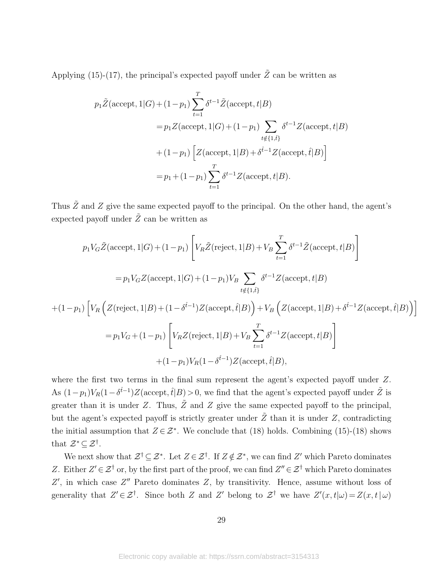Applying [\(15\)](#page-28-0)-[\(17\)](#page-28-1), the principal's expected payoff under  $\tilde{Z}$  can be written as

$$
p_1\tilde{Z}(\text{accept}, 1|G) + (1 - p_1) \sum_{t=1}^T \delta^{t-1} \tilde{Z}(\text{accept}, t|B)
$$
  
=  $p_1 Z(\text{accept}, 1|G) + (1 - p_1) \sum_{t \notin \{1, \hat{t}\}} \delta^{t-1} Z(\text{accept}, t|B)$   
+  $(1 - p_1) \left[ Z(\text{accept}, 1|B) + \delta^{\hat{t}-1} Z(\text{accept}, \hat{t}|B) \right]$   
=  $p_1 + (1 - p_1) \sum_{t=1}^T \delta^{t-1} Z(\text{accept}, t|B).$ 

Thus  $\tilde{Z}$  and Z give the same expected payoff to the principal. On the other hand, the agent's expected payoff under  $\tilde{Z}$  can be written as

$$
p_1 V_G \tilde{Z}(\text{accept}, 1|G) + (1 - p_1) \left[ V_R \tilde{Z}(\text{reject}, 1|B) + V_B \sum_{t=1}^T \delta^{t-1} \tilde{Z}(\text{accept}, t|B) \right]
$$
  
\n
$$
= p_1 V_G Z(\text{accept}, 1|G) + (1 - p_1) V_B \sum_{t \notin \{1, \hat{t}\}} \delta^{t-1} Z(\text{accept}, t|B)
$$
  
\n
$$
+ (1 - p_1) \left[ V_R \left( Z(\text{reject}, 1|B) + (1 - \delta^{\hat{t}-1}) Z(\text{accept}, \hat{t}|B) \right) + V_B \left( Z(\text{accept}, 1|B) + \delta^{\hat{t}-1} Z(\text{accept}, \hat{t}|B) \right) \right]
$$
  
\n
$$
= p_1 V_G + (1 - p_1) \left[ V_R Z(\text{reject}, 1|B) + V_B \sum_{t=1}^T \delta^{t-1} Z(\text{accept}, t|B) \right]
$$
  
\n
$$
+ (1 - p_1) V_R (1 - \delta^{\hat{t}-1}) Z(\text{accept}, \hat{t}|B),
$$

where the first two terms in the final sum represent the agent's expected payoff under Z. As  $(1-p_1)V_R(1-\delta^{\hat{t}-1})Z(\text{accept},\hat{t}|B) > 0$ , we find that the agent's expected payoff under  $\tilde{Z}$  is greater than it is under Z. Thus,  $\tilde{Z}$  and Z give the same expected payoff to the principal, but the agent's expected payoff is strictly greater under  $\tilde{Z}$  than it is under  $Z$ , contradicting the initial assumption that  $Z \in \mathcal{Z}^*$ . We conclude that [\(18\)](#page-28-2) holds. Combining [\(15\)](#page-28-0)-(18) shows that  $\mathcal{Z}^* \subseteq \mathcal{Z}^{\dagger}$ .

We next show that  $\mathcal{Z}^{\dagger} \subseteq \mathcal{Z}^*$ . Let  $Z \in \mathcal{Z}^{\dagger}$ . If  $Z \notin \mathcal{Z}^*$ , we can find  $Z'$  which Pareto dominates Z. Either  $Z' \in \mathcal{Z}^{\dagger}$  or, by the first part of the proof, we can find  $Z'' \in \mathcal{Z}^{\dagger}$  which Pareto dominates  $Z'$ , in which case  $Z''$  Pareto dominates  $Z$ , by transitivity. Hence, assume without loss of generality that  $Z' \in \mathcal{Z}^{\dagger}$ . Since both Z and Z' belong to  $\mathcal{Z}^{\dagger}$  we have  $Z'(x,t|\omega) = Z(x,t|\omega)$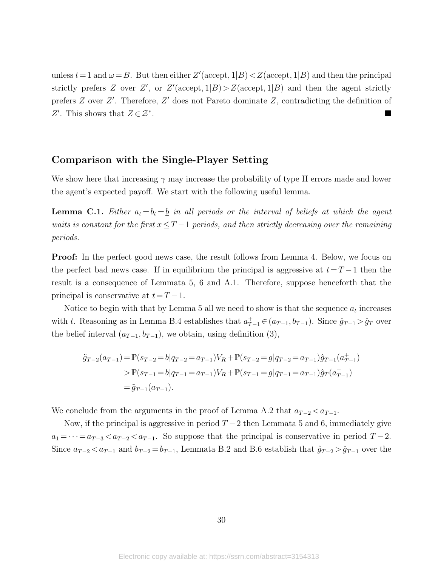unless  $t = 1$  and  $\omega = B$ . But then either  $Z'(\text{accept}, 1|B) < Z(\text{accept}, 1|B)$  and then the principal strictly prefers Z over Z', or  $Z'(\text{accept}, 1|B) > Z(\text{accept}, 1|B)$  and then the agent strictly prefers  $Z$  over  $Z'$ . Therefore,  $Z'$  does not Pareto dominate  $Z$ , contradicting the definition of Z'. This shows that  $Z \in \mathcal{Z}^*$ .

### Comparison with the Single-Player Setting

We show here that increasing  $\gamma$  may increase the probability of type II errors made and lower the agent's expected payoff. We start with the following useful lemma.

**Lemma C.1.** Either  $a_t = b_t = \underline{b}$  in all periods or the interval of beliefs at which the agent waits is constant for the first  $x \leq T-1$  periods, and then strictly decreasing over the remaining periods.

Proof: In the perfect good news case, the result follows from Lemma [4.](#page-12-3) Below, we focus on the perfect bad news case. If in equilibrium the principal is aggressive at  $t=T-1$  then the result is a consequence of Lemmata [5,](#page-13-1) [6](#page-13-2) and [A.1.](#page-7-1) Therefore, suppose henceforth that the principal is conservative at  $t=T-1$ .

Notice to begin with that by Lemma [5](#page-13-1) all we need to show is that the sequence  $a_t$  increases with t. Reasoning as in Lemma [B.4](#page-12-3) establishes that  $a_{T-1}^+ \in (a_{T-1}, b_{T-1})$ . Since  $\hat{g}_{T-1} > \hat{g}_T$  over the belief interval  $(a_{T-1}, b_{T-1})$ , we obtain, using definition [\(3\)](#page-19-3),

$$
\tilde{g}_{T-2}(a_{T-1}) = \mathbb{P}(s_{T-2} = b|q_{T-2} = a_{T-1})V_R + \mathbb{P}(s_{T-2} = g|q_{T-2} = a_{T-1})\hat{g}_{T-1}(a_{T-1}^+) \n> \mathbb{P}(s_{T-1} = b|q_{T-1} = a_{T-1})V_R + \mathbb{P}(s_{T-1} = g|q_{T-1} = a_{T-1})\hat{g}_T(a_{T-1}^+) \n= \tilde{g}_{T-1}(a_{T-1}).
$$

We conclude from the arguments in the proof of Lemma [A.2](#page-7-2) that  $a_{T-2} < a_{T-1}$ .

Now, if the principal is aggressive in period  $T-2$  then Lemmata [5](#page-13-1) and [6,](#page-13-2) immediately give  $a_1 = \cdots = a_{T-3} < a_{T-2} < a_{T-1}$ . So suppose that the principal is conservative in period  $T-2$ . Since  $a_{T-2} < a_{T-1}$  and  $b_{T-2} = b_{T-1}$ , Lemmata [B.2](#page-7-2) and [B.6](#page-13-2) establish that  $\hat{g}_{T-2} > \hat{g}_{T-1}$  over the

30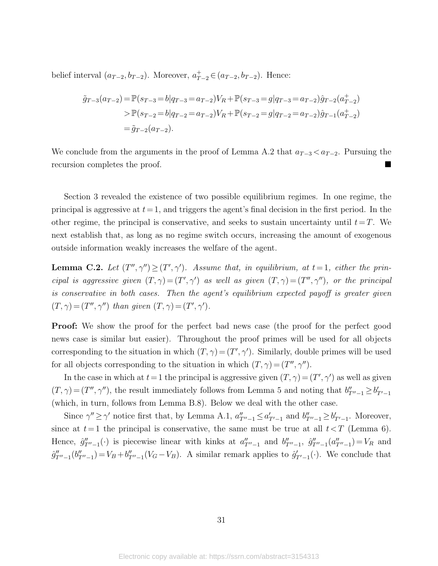belief interval  $(a_{T-2}, b_{T-2})$ . Moreover,  $a_{T-2}^+ \in (a_{T-2}, b_{T-2})$ . Hence:

$$
\tilde{g}_{T-3}(a_{T-2}) = \mathbb{P}(s_{T-3} = b|q_{T-3} = a_{T-2})V_R + \mathbb{P}(s_{T-3} = g|q_{T-3} = a_{T-2})\hat{g}_{T-2}(a_{T-2}^+) \n> \mathbb{P}(s_{T-2} = b|q_{T-2} = a_{T-2})V_R + \mathbb{P}(s_{T-2} = g|q_{T-2} = a_{T-2})\hat{g}_{T-1}(a_{T-2}^+) \n= \tilde{g}_{T-2}(a_{T-2}).
$$

We conclude from the arguments in the proof of Lemma [A.2](#page-7-2) that  $a_{T-3} < a_{T-2}$ . Pursuing the recursion completes the proof.

Section [3](#page-6-0) revealed the existence of two possible equilibrium regimes. In one regime, the principal is aggressive at  $t=1$ , and triggers the agent's final decision in the first period. In the other regime, the principal is conservative, and seeks to sustain uncertainty until  $t=T$ . We next establish that, as long as no regime switch occurs, increasing the amount of exogenous outside information weakly increases the welfare of the agent.

**Lemma C.2.** Let  $(T'', \gamma'') \geq (T', \gamma')$ . Assume that, in equilibrium, at  $t = 1$ , either the principal is aggressive given  $(T, \gamma) = (T', \gamma')$  as well as given  $(T, \gamma) = (T'', \gamma'')$ , or the principal is conservative in both cases. Then the agent's equilibrium expected payoff is greater given  $(T, \gamma) = (T'', \gamma'')$  than given  $(T, \gamma) = (T', \gamma')$ .

**Proof:** We show the proof for the perfect bad news case (the proof for the perfect good news case is similar but easier). Throughout the proof primes will be used for all objects corresponding to the situation in which  $(T, \gamma) = (T', \gamma')$ . Similarly, double primes will be used for all objects corresponding to the situation in which  $(T, \gamma) = (T'', \gamma'')$ .

In the case in which at  $t = 1$  the principal is aggressive given  $(T, \gamma) = (T', \gamma')$  as well as given  $(T, \gamma) = (T'', \gamma'')$ , the result immediately follows from Lemma [5](#page-13-1) and noting that  $b''_{T''-1} \geq b'_{T'-1}$ (which, in turn, follows from Lemma [B.8\)](#page-14-1). Below we deal with the other case.

Since  $\gamma'' \ge \gamma'$  notice first that, by Lemma [A.1,](#page-7-1)  $a''_{T''-1} \le a'_{T'-1}$  and  $b''_{T''-1} \ge b'_{T'-1}$ . Moreover, since at  $t=1$  the principal is conservative, the same must be true at all  $t < T$  (Lemma [6\)](#page-13-2). Hence,  $\hat{g}_{T''-1}'(\cdot)$  is piecewise linear with kinks at  $a_{T''-1}''$  and  $b_{T''-1}'$ ,  $\hat{g}_{T''-1}'(a_{T''-1}'') = V_R$  and  $\hat{g}''_{T''-1}(b''_{T''-1}) = V_B + b''_{T''-1}(V_G - V_B)$ . A similar remark applies to  $\hat{g}'_{T'-1}(\cdot)$ . We conclude that

31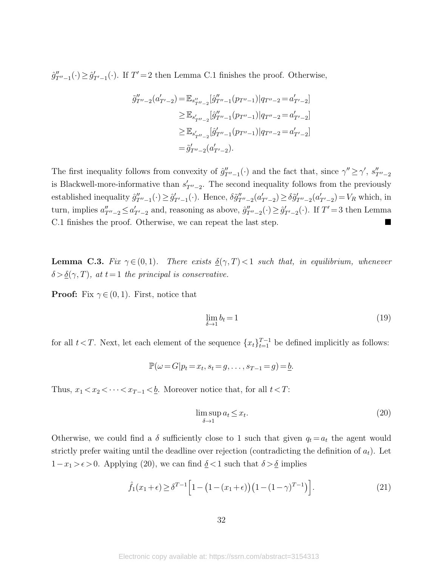$\hat{g}_{T''-1}''(\cdot) \ge \hat{g}_{T'-1}'(\cdot)$ . If  $T' = 2$  then Lemma [C.1](#page-7-1) finishes the proof. Otherwise,

$$
\tilde{g}_{T''-2}''(a'_{T'-2}) = \mathbb{E}_{s''_{T''-2}}[\hat{g}_{T''-1}''(p_{T''-1})|q_{T''-2} = a'_{T'-2}]
$$
  
\n
$$
\geq \mathbb{E}_{s'_{T''-2}}[\hat{g}_{T''-1}''(p_{T''-1})|q_{T''-2} = a'_{T'-2}]
$$
  
\n
$$
\geq \mathbb{E}_{s'_{T''-2}}[\hat{g}_{T''-1}'(p_{T''-1})|q_{T''-2} = a'_{T'-2}]
$$
  
\n
$$
= \tilde{g}_{T''-2}'(a'_{T'-2}).
$$

The first inequality follows from convexity of  $\hat{g}_{T''-1}''(\cdot)$  and the fact that, since  $\gamma'' \geq \gamma'$ ,  $s''_{T''-2}$ is Blackwell-more-informative than  $s'_{T''-2}$ . The second inequality follows from the previously established inequality  $\hat{g}_{T''-1}'(\cdot) \geq \hat{g}_{T'-1}'(\cdot)$ . Hence,  $\delta \tilde{g}_{T''-2}'(a'_{T'-2}) \geq \delta \tilde{g}_{T''-2}'(a'_{T'-2}) = V_R$  which, in turn, implies  $a''_{T''-2} \le a'_{T'-2}$  and, reasoning as above,  $\hat{g}''_{T''-2}(\cdot) \ge \hat{g}'_{T'-2}(\cdot)$ . If  $T' = 3$  then Lemma [C.1](#page-7-1) finishes the proof. Otherwise, we can repeat the last step.

**Lemma C.3.** Fix  $\gamma \in (0, 1)$ . There exists  $\underline{\delta}(\gamma, T) < 1$  such that, in equilibrium, whenever  $\delta > \underline{\delta}(\gamma, T)$ , at  $t = 1$  the principal is conservative.

**Proof:** Fix  $\gamma \in (0, 1)$ . First, notice that

<span id="page-32-1"></span>
$$
\lim_{\delta \to 1} b_t = 1 \tag{19}
$$

for all  $t < T$ . Next, let each element of the sequence  $\{x_t\}_{t=1}^{T-1}$  be defined implicitly as follows:

$$
\mathbb{P}(\omega = G | p_t = x_t, s_t = g, \dots, s_{T-1} = g) = \underline{b}.
$$

Thus,  $x_1 < x_2 < \cdots < x_{T-1} < \underline{b}$ . Moreover notice that, for all  $t < T$ :

<span id="page-32-0"></span>
$$
\limsup_{\delta \to 1} a_t \le x_t. \tag{20}
$$

Otherwise, we could find a  $\delta$  sufficiently close to 1 such that given  $q_t = a_t$  the agent would strictly prefer waiting until the deadline over rejection (contradicting the definition of  $a_t$ ). Let 1− $x_1 > \epsilon$  > 0. Applying [\(20\)](#page-32-0), we can find  $\underline{\delta} < 1$  such that  $\delta > \underline{\delta}$  implies

<span id="page-32-2"></span>
$$
\hat{f}_1(x_1+\epsilon) \ge \delta^{T-1} \left[ 1 - \left( 1 - (x_1+\epsilon) \right) \left( 1 - (1-\gamma)^{T-1} \right) \right]. \tag{21}
$$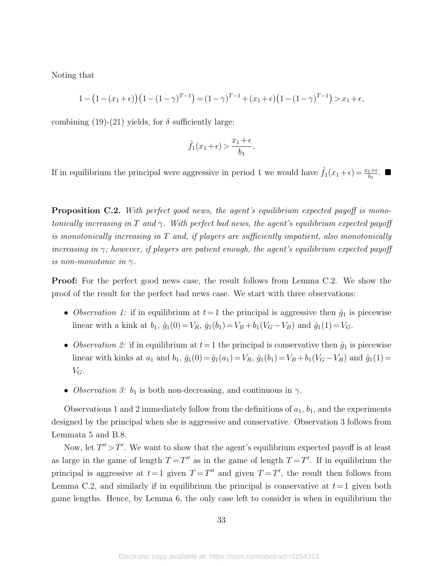Noting that

$$
1 - (1 - (x_1 + \epsilon)) (1 - (1 - \gamma)^{T-1}) = (1 - \gamma)^{T-1} + (x_1 + \epsilon) (1 - (1 - \gamma)^{T-1}) > x_1 + \epsilon,
$$

combining [\(19\)](#page-32-1)-[\(21\)](#page-32-2) yields, for  $\delta$  sufficiently large:

$$
\hat{f}_1(x_1+\epsilon) > \frac{x_1+\epsilon}{b_1}.
$$

If in equilibrium the principal were aggressive in period 1 we would have  $\hat{f}_1(x_1 + \epsilon) = \frac{x_1 + \epsilon}{b_1}$ .

**Proposition C.2.** With perfect good news, the agent's equilibrium expected payoff is monotonically increasing in T and  $\gamma$ . With perfect bad news, the agent's equilibrium expected payoff is monotonically increasing in  $T$  and, if players are sufficiently impatient, also monotonically increasing in  $\gamma$ ; however, if players are patient enough, the agent's equilibrium expected payoff is non-monotonic in  $\gamma$ .

Proof: For the perfect good news case, the result follows from Lemma [C.2.](#page-7-2) We show the proof of the result for the perfect bad news case. We start with three observations:

- Observation 1: if in equilibrium at  $t=1$  the principal is aggressive then  $\hat{g}_1$  is piecewise linear with a kink at  $b_1$ ,  $\hat{g}_1(0) = V_R$ ,  $\hat{g}_1(b_1) = V_B + b_1(V_G - V_B)$  and  $\hat{g}_1(1) = V_G$ .
- Observation 2: if in equilibrium at  $t=1$  the principal is conservative then  $\hat{g}_1$  is piecewise linear with kinks at  $a_1$  and  $b_1$ ,  $\hat{g}_1(0) = \hat{g}_1(a_1) = V_R$ ,  $\hat{g}_1(b_1) = V_B + b_1(V_G - V_B)$  and  $\hat{g}_1(1) =$  $V_G$ .
- Observation 3:  $b_1$  is both non-decreasing, and continuous in  $\gamma$ .

Observations 1 and 2 immediately follow from the definitions of  $a_1$ ,  $b_1$ , and the experiments designed by the principal when she is aggressive and conservative. Observation 3 follows from Lemmata [5](#page-13-1) and [B.8.](#page-14-1)

Now, let  $T'' > T'$ . We want to show that the agent's equilibrium expected payoff is at least as large in the game of length  $T = T''$  as in the game of length  $T = T'$ . If in equilibrium the principal is aggressive at  $t=1$  given  $T=T''$  and given  $T=T'$ , the result then follows from Lemma [C.2,](#page-7-2) and similarly if in equilibrium the principal is conservative at  $t=1$  given both game lengths. Hence, by Lemma [6,](#page-13-2) the only case left to consider is when in equilibrium the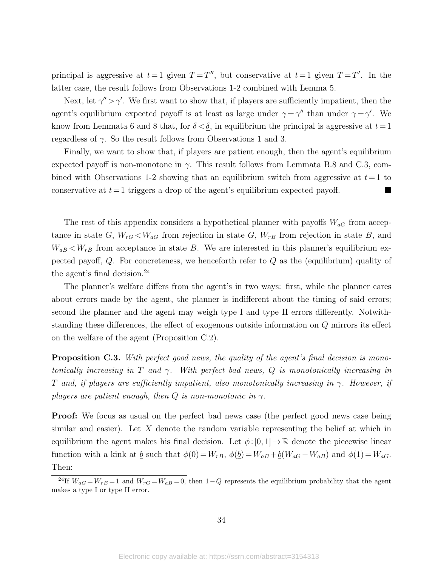principal is aggressive at  $t=1$  given  $T=T''$ , but conservative at  $t=1$  given  $T=T'$ . In the latter case, the result follows from Observations 1-2 combined with Lemma [5.](#page-13-1)

Next, let  $\gamma'' > \gamma'$ . We first want to show that, if players are sufficiently impatient, then the agent's equilibrium expected payoff is at least as large under  $\gamma = \gamma''$  than under  $\gamma = \gamma'$ . We know from Lemmata [6](#page-13-2) and [8](#page-14-1) that, for  $\delta < \underline{\delta}$ , in equilibrium the principal is aggressive at  $t=1$ regardless of  $\gamma$ . So the result follows from Observations 1 and 3.

Finally, we want to show that, if players are patient enough, then the agent's equilibrium expected payoff is non-monotone in  $\gamma$ . This result follows from Lemmata [B.8](#page-14-1) and [C.3,](#page-8-3) combined with Observations 1-2 showing that an equilibrium switch from aggressive at  $t=1$  to conservative at  $t=1$  triggers a drop of the agent's equilibrium expected payoff.

The rest of this appendix considers a hypothetical planner with payoffs  $W_{aG}$  from acceptance in state G,  $W_{rG}$  <  $W_{aG}$  from rejection in state G,  $W_{rB}$  from rejection in state B, and  $W_{aB}$  <  $W_{rB}$  from acceptance in state B. We are interested in this planner's equilibrium expected payoff,  $Q$ . For concreteness, we henceforth refer to  $Q$  as the (equilibrium) quality of the agent's final decision.[24](#page-34-0)

The planner's welfare differs from the agent's in two ways: first, while the planner cares about errors made by the agent, the planner is indifferent about the timing of said errors; second the planner and the agent may weigh type I and type II errors differently. Notwithstanding these differences, the effect of exogenous outside information on Q mirrors its effect on the welfare of the agent (Proposition [C.2\)](#page-15-1).

**Proposition C.3.** With perfect good news, the quality of the agent's final decision is monotonically increasing in T and  $\gamma$ . With perfect bad news, Q is monotonically increasing in T and, if players are sufficiently impatient, also monotonically increasing in  $\gamma$ . However, if players are patient enough, then  $Q$  is non-monotonic in  $\gamma$ .

Proof: We focus as usual on the perfect bad news case (the perfect good news case being similar and easier). Let  $X$  denote the random variable representing the belief at which in equilibrium the agent makes his final decision. Let  $\phi:[0,1] \to \mathbb{R}$  denote the piecewise linear function with a kink at <u>b</u> such that  $\phi(0) = W_{rB}$ ,  $\phi(\underline{b}) = W_{aB} + \underline{b}(W_{aG} - W_{aB})$  and  $\phi(1) = W_{aG}$ . Then:

<span id="page-34-0"></span><sup>&</sup>lt;sup>24</sup>If  $W_{aG} = W_{rB} = 1$  and  $W_{rG} = W_{aB} = 0$ , then  $1-Q$  represents the equilibrium probability that the agent makes a type I or type II error.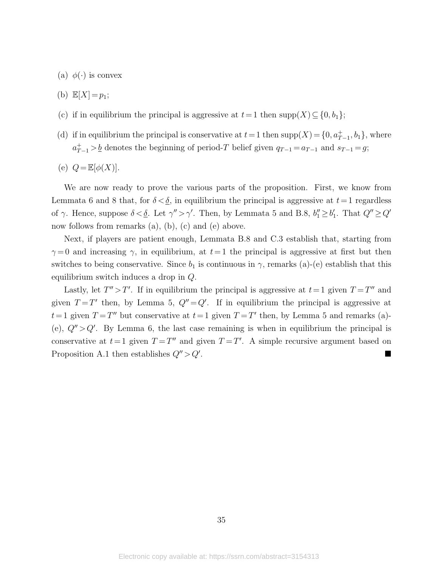- (a)  $\phi(\cdot)$  is convex
- (b)  $\mathbb{E}[X] = p_1;$
- (c) if in equilibrium the principal is aggressive at  $t=1$  then  $supp(X) \subseteq \{0, b_1\};$
- (d) if in equilibrium the principal is conservative at  $t = 1$  then  $supp(X) = \{0, a_{T-1}^+, b_1\}$ , where  $a_{T-1}^+ > \underline{b}$  denotes the beginning of period-T belief given  $q_{T-1} = a_{T-1}$  and  $s_{T-1} = g$ ;
- (e)  $Q = \mathbb{E}[\phi(X)].$

We are now ready to prove the various parts of the proposition. First, we know from Lemmata [6](#page-13-2) and [8](#page-14-1) that, for  $\delta < \underline{\delta}$ , in equilibrium the principal is aggressive at  $t=1$  regardless of  $\gamma$ . Hence, suppose  $\delta < \underline{\delta}$ . Let  $\gamma'' > \gamma'$ . Then, by Lemmata [5](#page-13-1) and [B.8,](#page-14-1)  $b''_1 \geq b'_1$ . That  $Q'' \geq Q'$ now follows from remarks (a), (b), (c) and (e) above.

Next, if players are patient enough, Lemmata [B.8](#page-14-1) and [C.3](#page-8-3) establish that, starting from  $\gamma = 0$  and increasing  $\gamma$ , in equilibrium, at  $t=1$  the principal is aggressive at first but then switches to being conservative. Since  $b_1$  is continuous in  $\gamma$ , remarks (a)-(e) establish that this equilibrium switch induces a drop in Q.

Lastly, let  $T'' > T'$ . If in equilibrium the principal is aggressive at  $t = 1$  given  $T = T''$  and given  $T = T'$  then, by Lemma [5,](#page-13-1)  $Q'' = Q'$ . If in equilibrium the principal is aggressive at  $t = 1$  given  $T = T''$  but conservative at  $t = 1$  given  $T = T'$  then, by Lemma [5](#page-13-1) and remarks (a)-(e),  $Q'' > Q'$ . By Lemma [6,](#page-13-2) the last case remaining is when in equilibrium the principal is conservative at  $t = 1$  given  $T = T''$  and given  $T = T'$ . A simple recursive argument based on Proposition [A.1](#page-6-4) then establishes  $Q'' > Q'$ . .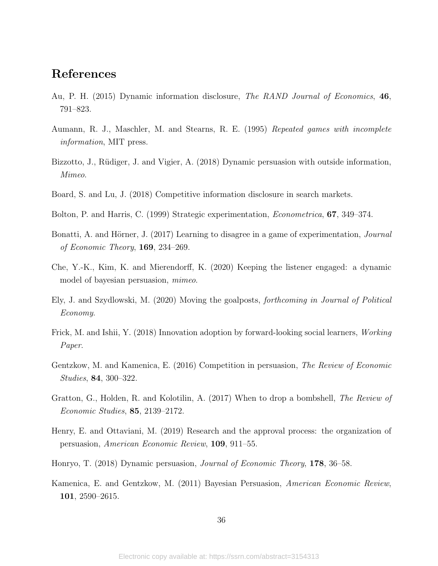### References

- <span id="page-36-3"></span>Au, P. H. (2015) Dynamic information disclosure, The RAND Journal of Economics, 46, 791–823.
- <span id="page-36-12"></span>Aumann, R. J., Maschler, M. and Stearns, R. E. (1995) Repeated games with incomplete information, MIT press.
- <span id="page-36-13"></span>Bizzotto, J., Rüdiger, J. and Vigier, A. (2018) Dynamic persuasion with outside information, Mimeo.
- <span id="page-36-2"></span>Board, S. and Lu, J. (2018) Competitive information disclosure in search markets.
- <span id="page-36-9"></span>Bolton, P. and Harris, C. (1999) Strategic experimentation, Econometrica, 67, 349–374.
- <span id="page-36-10"></span>Bonatti, A. and Hörner, J. (2017) Learning to disagree in a game of experimentation, *Journal* of Economic Theory, 169, 234–269.
- <span id="page-36-6"></span>Che, Y.-K., Kim, K. and Mierendorff, K. (2020) Keeping the listener engaged: a dynamic model of bayesian persuasion, mimeo.
- <span id="page-36-7"></span>Ely, J. and Szydlowski, M. (2020) Moving the goalposts, forthcoming in Journal of Political Economy.
- <span id="page-36-11"></span>Frick, M. and Ishii, Y. (2018) Innovation adoption by forward-looking social learners, *Working* Paper.
- <span id="page-36-1"></span>Gentzkow, M. and Kamenica, E. (2016) Competition in persuasion, The Review of Economic Studies, 84, 300–322.
- <span id="page-36-8"></span>Gratton, G., Holden, R. and Kolotilin, A. (2017) When to drop a bombshell, The Review of Economic Studies, 85, 2139–2172.
- <span id="page-36-5"></span>Henry, E. and Ottaviani, M. (2019) Research and the approval process: the organization of persuasion, American Economic Review, 109, 911–55.
- <span id="page-36-4"></span>Honryo, T. (2018) Dynamic persuasion, Journal of Economic Theory, 178, 36–58.
- <span id="page-36-0"></span>Kamenica, E. and Gentzkow, M. (2011) Bayesian Persuasion, American Economic Review, 101, 2590–2615.

36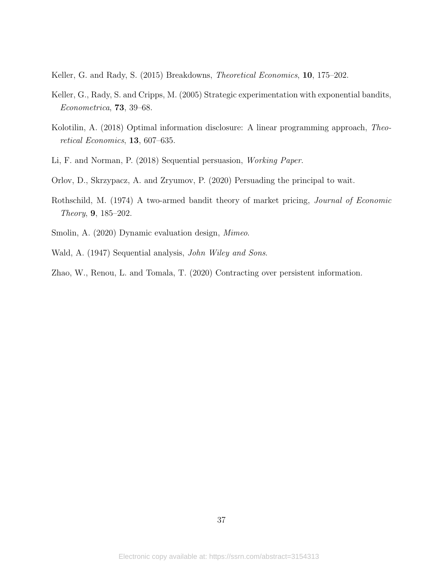<span id="page-37-8"></span>Keller, G. and Rady, S. (2015) Breakdowns, Theoretical Economics, 10, 175–202.

- <span id="page-37-7"></span>Keller, G., Rady, S. and Cripps, M. (2005) Strategic experimentation with exponential bandits, Econometrica, 73, 39–68.
- <span id="page-37-5"></span>Kolotilin, A. (2018) Optimal information disclosure: A linear programming approach, Theoretical Economics, 13, 607–635.
- <span id="page-37-1"></span>Li, F. and Norman, P. (2018) Sequential persuasion, Working Paper.
- <span id="page-37-2"></span>Orlov, D., Skrzypacz, A. and Zryumov, P. (2020) Persuading the principal to wait.
- <span id="page-37-6"></span>Rothschild, M. (1974) A two-armed bandit theory of market pricing, Journal of Economic Theory, 9, 185–202.
- <span id="page-37-3"></span>Smolin, A. (2020) Dynamic evaluation design, Mimeo.
- <span id="page-37-0"></span>Wald, A. (1947) Sequential analysis, John Wiley and Sons.
- <span id="page-37-4"></span>Zhao, W., Renou, L. and Tomala, T. (2020) Contracting over persistent information.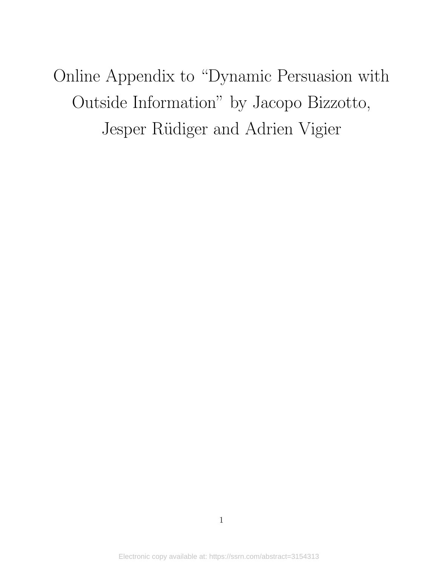Online Appendix to "Dynamic Persuasion with Outside Information" by Jacopo Bizzotto, Jesper Rüdiger and Adrien Vigier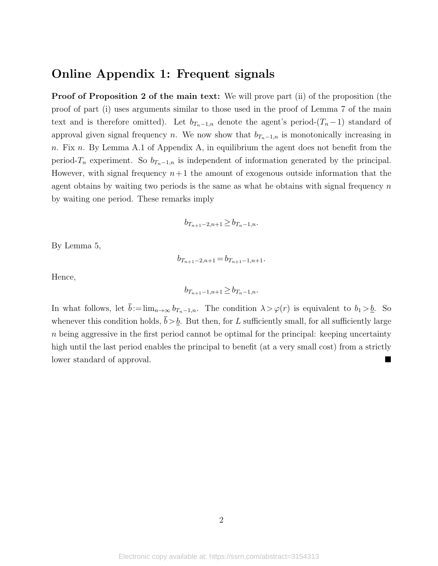### Online Appendix 1: Frequent signals

Proof of Proposition [2](#page-15-1) of the main text: We will prove part (ii) of the proposition (the proof of part (i) uses arguments similar to those used in the proof of Lemma [7](#page-13-4) of the main text and is therefore omitted). Let  $b_{T_n-1,n}$  denote the agent's period- $(T_n-1)$  standard of approval given signal frequency n. We now show that  $b_{T_n-1,n}$  is monotonically increasing in  $n.$  Fix  $n.$  By Lemma [A.1](#page-7-1) of Appendix A, in equilibrium the agent does not benefit from the period-T<sub>n</sub> experiment. So  $b_{T_n-1,n}$  is independent of information generated by the principal. However, with signal frequency  $n+1$  the amount of exogenous outside information that the agent obtains by waiting two periods is the same as what he obtains with signal frequency  $n$ by waiting one period. These remarks imply

$$
b_{T_{n+1}-2,n+1} \ge b_{T_n-1,n}.
$$

By Lemma [5,](#page-13-1)

$$
b_{T_{n+1}-2,n+1} = b_{T_{n+1}-1,n+1}.
$$

Hence,

$$
b_{T_{n+1}-1,n+1} \ge b_{T_n-1,n}.
$$

In what follows, let  $\bar{b} := \lim_{n \to \infty} b_{T_n-1,n}$ . The condition  $\lambda > \varphi(r)$  is equivalent to  $b_1 > \underline{b}$ . So whenever this condition holds,  $\bar{b} > b$ . But then, for L sufficiently small, for all sufficiently large  $n$  being aggressive in the first period cannot be optimal for the principal: keeping uncertainty high until the last period enables the principal to benefit (at a very small cost) from a strictly lower standard of approval.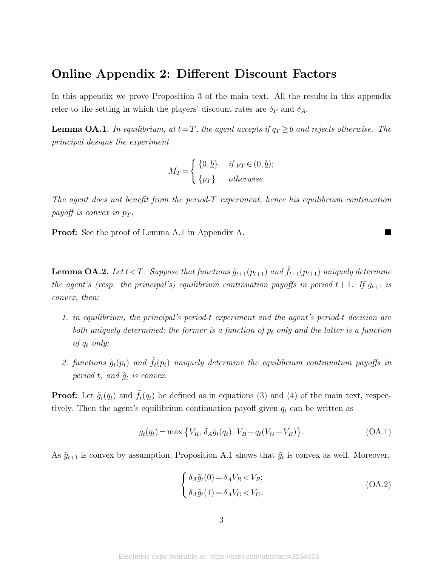### Online Appendix 2: Different Discount Factors

In this appendix we prove Proposition [3](#page-15-2) of the main text. All the results in this appendix refer to the setting in which the players' discount rates are  $\delta_P$  and  $\delta_A$ .

**Lemma OA.1.** In equilibrium, at  $t=T$ , the agent accepts if  $q_T \geq b$  and rejects otherwise. The principal designs the experiment

$$
M_T = \begin{cases} \{0, \underline{b}\} & \text{if } p_T \in (0, \underline{b});\\ \{p_T\} & \text{otherwise.} \end{cases}
$$

The agent does not benefit from the period-T experiment, hence his equilibrium continuation payoff is convex in  $p_T$ .

**Proof:** See the proof of Lemma [A.1](#page-7-1) in Appendix A.

**Lemma OA.2.** Let  $t < T$ . Suppose that functions  $\hat{g}_{t+1}(p_{t+1})$  and  $\hat{f}_{t+1}(p_{t+1})$  uniquely determine the agent's (resp. the principal's) equilibrium continuation payoffs in period  $t+1$ . If  $\hat{g}_{t+1}$  is convex, then:

- 1. in equilibrium, the principal's period-t experiment and the agent's period-t decision are both uniquely determined; the former is a function of  $p_t$  only and the latter is a function of  $q_t$  only;
- 2. functions  $\hat{g}_t(p_t)$  and  $\hat{f}_t(p_t)$  uniquely determine the equilibrium continuation payoffs in period t, and  $\hat{g}_t$  is convex.

**Proof:** Let  $\tilde{g}_t(q_t)$  and  $\tilde{f}_t(q_t)$  be defined as in equations [\(3\)](#page-19-3) and [\(4\)](#page-19-2) of the main text, respectively. Then the agent's equilibrium continuation payoff given  $q_t$  can be written as

<span id="page-40-0"></span>
$$
g_t(q_t) = \max\left\{V_R, \, \delta_A \tilde{g}_t(q_t), \, V_B + q_t(V_G - V_B)\right\}.\tag{OA.1}
$$

As  $\hat{g}_{t+1}$  is convex by assumption, Proposition [A.1](#page-6-4) shows that  $\tilde{g}_t$  is convex as well. Moreover,

$$
\begin{cases}\n\delta_A \tilde{g}_t(0) = \delta_A V_R < V_R; \\
\delta_A \tilde{g}_t(1) = \delta_A V_G < V_G.\n\end{cases} \tag{OA.2}
$$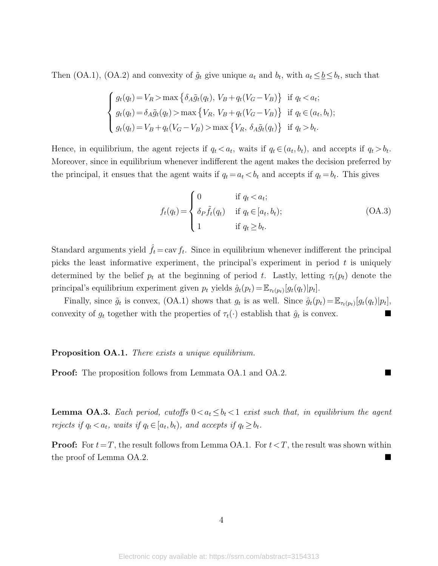Then [\(OA.1\)](#page-40-0), [\(OA.2\)](#page-18-0) and convexity of  $\tilde{g}_t$  give unique  $a_t$  and  $b_t$ , with  $a_t \leq b \leq b_t$ , such that

$$
\begin{cases}\ng_t(q_t) = V_R > \max\left\{\delta_A \tilde{g}_t(q_t), V_B + q_t(V_G - V_B)\right\} \text{ if } q_t < a_t; \\
g_t(q_t) = \delta_A \tilde{g}_t(q_t) > \max\left\{V_R, V_B + q_t(V_G - V_B)\right\} \text{ if } q_t \in (a_t, b_t); \\
g_t(q_t) = V_B + q_t(V_G - V_B) > \max\left\{V_R, \delta_A \tilde{g}_t(q_t)\right\} \text{ if } q_t > b_t.\n\end{cases}
$$

Hence, in equilibrium, the agent rejects if  $q_t < a_t$ , waits if  $q_t \in (a_t, b_t)$ , and accepts if  $q_t > b_t$ . Moreover, since in equilibrium whenever indifferent the agent makes the decision preferred by the principal, it ensues that the agent waits if  $q_t = a_t < b_t$  and accepts if  $q_t = b_t$ . This gives

$$
f_t(q_t) = \begin{cases} 0 & \text{if } q_t < a_t; \\ \delta_P \tilde{f}_t(q_t) & \text{if } q_t \in [a_t, b_t); \\ 1 & \text{if } q_t \ge b_t. \end{cases}
$$
 (OA.3)

Standard arguments yield  $\hat{f}_t = \text{cav } f_t$ . Since in equilibrium whenever indifferent the principal picks the least informative experiment, the principal's experiment in period  $t$  is uniquely determined by the belief  $p_t$  at the beginning of period t. Lastly, letting  $\tau_t(p_t)$  denote the principal's equilibrium experiment given  $p_t$  yields  $\hat{g}_t(p_t) = \mathbb{E}_{\tau_t(p_t)}[g_t(q_t)|p_t].$ 

Finally, since  $\tilde{g}_t$  is convex, [\(OA.1\)](#page-40-0) shows that  $g_t$  is as well. Since  $\hat{g}_t(p_t) = \mathbb{E}_{\tau_t(p_t)}[g_t(q_t)|p_t],$ convexity of  $g_t$  together with the properties of  $\tau_t(\cdot)$  establish that  $\hat{g}_t$  is convex.

#### Proposition OA.1. There exists a unique equilibrium.

**Proof:** The proposition follows from Lemmata [OA.1](#page-7-1) and [OA.2.](#page-7-2)

**Lemma OA.3.** Each period, cutoffs  $0 < a_t \leq b_t < 1$  exist such that, in equilibrium the agent rejects if  $q_t < a_t$ , waits if  $q_t \in [a_t, b_t)$ , and accepts if  $q_t \geq b_t$ .

**Proof:** For  $t = T$ , the result follows from Lemma [OA.1.](#page-7-1) For  $t < T$ , the result was shown within the proof of Lemma [OA.2.](#page-7-2)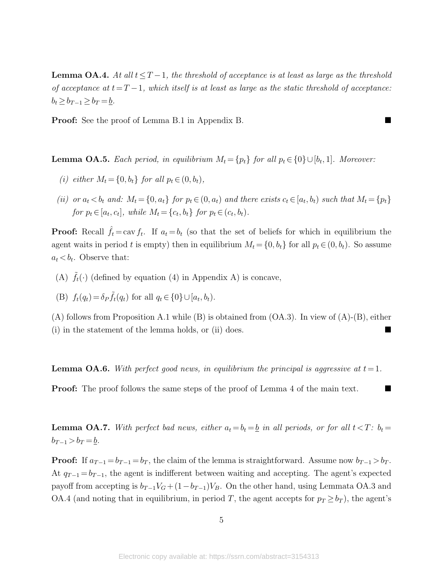**Lemma OA.4.** At all  $t \leq T-1$ , the threshold of acceptance is at least as large as the threshold of acceptance at  $t=T-1$ , which itself is at least as large as the static threshold of acceptance:  $b_t \geq b_{T-1} \geq b_T = b$ .

Proof: See the proof of Lemma [B.1](#page-7-1) in Appendix B.

**Lemma OA.5.** Each period, in equilibrium  $M_t = \{p_t\}$  for all  $p_t \in \{0\} \cup [b_t, 1]$ . Moreover:

- (i) either  $M_t = \{0, b_t\}$  for all  $p_t \in (0, b_t)$ ,
- (ii) or  $a_t < b_t$  and:  $M_t = \{0, a_t\}$  for  $p_t \in (0, a_t)$  and there exists  $c_t \in [a_t, b_t)$  such that  $M_t = \{p_t\}$ for  $p_t \in [a_t, c_t]$ , while  $M_t = \{c_t, b_t\}$  for  $p_t \in (c_t, b_t)$ .

**Proof:** Recall  $\hat{f}_t = \text{cav } f_t$ . If  $a_t = b_t$  (so that the set of beliefs for which in equilibrium the agent waits in period t is empty) then in equilibrium  $M_t = \{0, b_t\}$  for all  $p_t \in (0, b_t)$ . So assume  $a_t < b_t$ . Observe that:

(A)  $\tilde{f}_t(\cdot)$  (defined by equation [\(4\)](#page-19-2) in Appendix A) is concave,

(B) 
$$
f_t(q_t) = \delta_P \tilde{f}_t(q_t)
$$
 for all  $q_t \in \{0\} \cup [a_t, b_t)$ .

 $(A)$  follows from Proposition [A.1](#page-6-4) while (B) is obtained from  $(OA.3)$ . In view of  $(A)$ - $(B)$ , either (i) in the statement of the lemma holds, or (ii) does.

**Lemma OA.6.** With perfect good news, in equilibrium the principal is aggressive at  $t = 1$ .

Proof: The proof follows the same steps of the proof of Lemma [4](#page-12-3) of the main text.

**Lemma OA.7.** With perfect bad news, either  $a_t = b_t = b$  in all periods, or for all  $t < T$ :  $b_t =$  $b_{T-1} > b_T = \underline{b}.$ 

**Proof:** If  $a_{T-1} = b_{T-1} = b_T$ , the claim of the lemma is straightforward. Assume now  $b_{T-1} > b_T$ . At  $q_{T-1} = b_{T-1}$ , the agent is indifferent between waiting and accepting. The agent's expected payoff from accepting is  $b_{T-1}V_G + (1-b_{T-1})V_B$ . On the other hand, using Lemmata [OA.3](#page-8-3) and [OA.4](#page-12-3) (and noting that in equilibrium, in period T, the agent accepts for  $p_T \geq b_T$ ), the agent's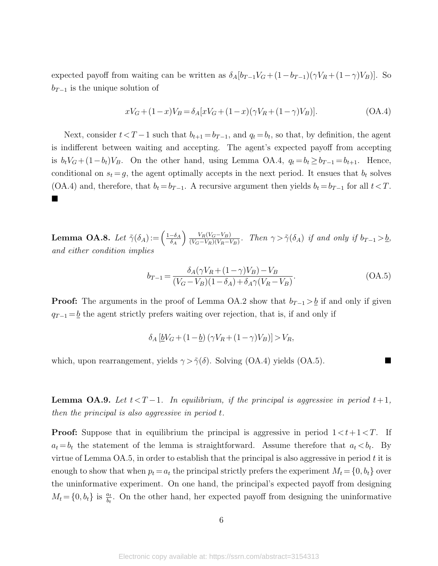expected payoff from waiting can be written as  $\delta_A[b_{T-1}V_G+(1-b_{T-1})(\gamma V_R+(1-\gamma)V_B)]$ . So  $b_{T-1}$  is the unique solution of

$$
xV_G + (1-x)V_B = \delta_A[xV_G + (1-x)(\gamma V_R + (1-\gamma)V_B)].
$$
\n(OA.4)

Next, consider  $t < T - 1$  such that  $b_{t+1} = b_{T-1}$ , and  $q_t = b_t$ , so that, by definition, the agent is indifferent between waiting and accepting. The agent's expected payoff from accepting is  $b_t V_G + (1-b_t)V_B$ . On the other hand, using Lemma [OA.4,](#page-12-3)  $q_t = b_t \ge b_{T-1} = b_{t+1}$ . Hence, conditional on  $s_t = g$ , the agent optimally accepts in the next period. It ensues that  $b_t$  solves [\(OA.4\)](#page-19-2) and, therefore, that  $b_t = b_{T-1}$ . A recursive argument then yields  $b_t = b_{T-1}$  for all  $t < T$ . ٠

**Lemma OA.8.** Let  $\tilde{\gamma}(\delta_A) := \left(\frac{1-\delta_A}{\delta_A}\right)$  $\delta_A$  $\bigg\}$   $V_R(V_G-V_B)$  $\frac{V_R(V_G-V_B)}{(V_G-V_R)(V_R-V_B)}$ . Then  $\gamma > \tilde{\gamma}(\delta_A)$  if and only if  $b_{T-1} > b$ , and either condition implies

$$
b_{T-1} = \frac{\delta_A(\gamma V_R + (1 - \gamma)V_B) - V_B}{(V_G - V_B)(1 - \delta_A) + \delta_A \gamma (V_R - V_B)}.
$$
\n(OA.5)

**Proof:** The arguments in the proof of Lemma [OA.2](#page-7-2) show that  $b_{T-1} > b$  if and only if given  $q_{T-1} = \underline{b}$  the agent strictly prefers waiting over rejection, that is, if and only if

$$
\delta_A \left[ \underline{b} V_G + (1 - \underline{b}) \left( \gamma V_R + (1 - \gamma) V_B \right) \right] > V_R,
$$

which, upon rearrangement, yields  $\gamma > \tilde{\gamma}(\delta)$ . Solving [\(OA.4\)](#page-19-2) yields [\(OA.5\)](#page-19-1).

<span id="page-43-0"></span>**Lemma OA.9.** Let  $t < T-1$ . In equilibrium, if the principal is aggressive in period  $t+1$ , then the principal is also aggressive in period t.

**Proof:** Suppose that in equilibrium the principal is aggressive in period  $1 < t+1 < T$ . If  $a_t = b_t$  the statement of the lemma is straightforward. Assume therefore that  $a_t < b_t$ . By virtue of Lemma [OA.5,](#page-13-1) in order to establish that the principal is also aggressive in period  $t$  it is enough to show that when  $p_t = a_t$  the principal strictly prefers the experiment  $M_t = \{0, b_t\}$  over the uninformative experiment. On one hand, the principal's expected payoff from designing  $M_t = \{0, b_t\}$  is  $\frac{a_t}{b_t}$ . On the other hand, her expected payoff from designing the uninformative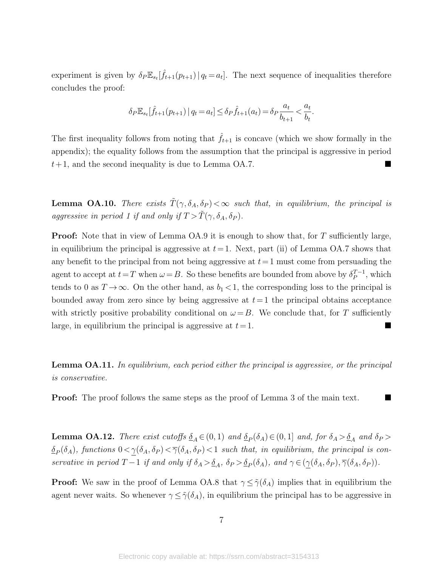experiment is given by  $\delta_P \mathbb{E}_{s_t}[\hat{f}_{t+1}(p_{t+1}) | q_t = a_t].$  The next sequence of inequalities therefore concludes the proof:

$$
\delta_P \mathbb{E}_{s_t}[\hat{f}_{t+1}(p_{t+1}) | q_t = a_t] \le \delta_P \hat{f}_{t+1}(a_t) = \delta_P \frac{a_t}{b_{t+1}} < \frac{a_t}{b_t}.
$$

The first inequality follows from noting that  $\hat{f}_{t+1}$  is concave (which we show formally in the appendix); the equality follows from the assumption that the principal is aggressive in period  $t+1$ , and the second inequality is due to Lemma [OA.7.](#page-13-4)

**Lemma OA.10.** There exists  $\tilde{T}(\gamma, \delta_A, \delta_P) < \infty$  such that, in equilibrium, the principal is aggressive in period 1 if and only if  $T > \tilde{T}(\gamma, \delta_A, \delta_P)$ .

**Proof:** Note that in view of Lemma [OA.9](#page-43-0) it is enough to show that, for T sufficiently large, in equilibrium the principal is aggressive at  $t=1$ . Next, part (ii) of Lemma [OA.7](#page-13-4) shows that any benefit to the principal from not being aggressive at  $t=1$  must come from persuading the agent to accept at  $t=T$  when  $\omega =B$ . So these benefits are bounded from above by  $\delta_P^{T-1}$  $_{P}^{T-1}$ , which tends to 0 as  $T \to \infty$ . On the other hand, as  $b_1 < 1$ , the corresponding loss to the principal is bounded away from zero since by being aggressive at  $t=1$  the principal obtains acceptance with strictly positive probability conditional on  $\omega = B$ . We conclude that, for T sufficiently large, in equilibrium the principal is aggressive at  $t=1$ .

<span id="page-44-0"></span>**Lemma OA.11.** In equilibrium, each period either the principal is aggressive, or the principal is conservative.

**Proof:** The proof follows the same steps as the proof of Lemma [3](#page-8-3) of the main text.

**Lemma OA.12.** There exist cutoffs  $\underline{\delta}_A \in (0,1)$  and  $\underline{\delta}_P(\delta_A) \in (0,1]$  and, for  $\delta_A > \underline{\delta}_A$  and  $\delta_P >$  $\underline{\delta}_P(\delta_A)$ , functions  $0 < \underline{\gamma}(\delta_A, \delta_P) < \overline{\gamma}(\delta_A, \delta_P) < 1$  such that, in equilibrium, the principal is conservative in period  $T-1$  if and only if  $\delta_A > \underline{\delta}_A$ ,  $\delta_P > \underline{\delta}_P(\delta_A)$ , and  $\gamma \in (\underline{\gamma}(\delta_A, \delta_P), \overline{\gamma}(\delta_A, \delta_P))$ .

**Proof:** We saw in the proof of Lemma [OA.8](#page-14-1) that  $\gamma \leq \tilde{\gamma}(\delta_A)$  implies that in equilibrium the agent never waits. So whenever  $\gamma \leq \tilde{\gamma}(\delta_A)$ , in equilibrium the principal has to be aggressive in